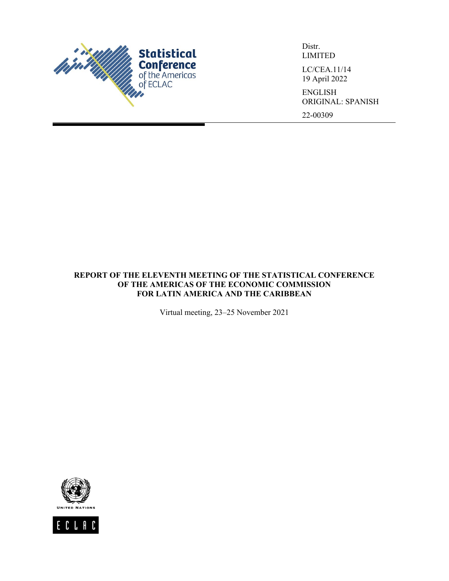

Distr. LIMITED LC/CEA.11/14

19 April 2022

ENGLISH ORIGINAL: SPANISH 22-00309

**REPORT OF THE ELEVENTH MEETING OF THE STATISTICAL CONFERENCE OF THE AMERICAS OF THE ECONOMIC COMMISSION FOR LATIN AMERICA AND THE CARIBBEAN**

Virtual meeting, 23–25 November 2021



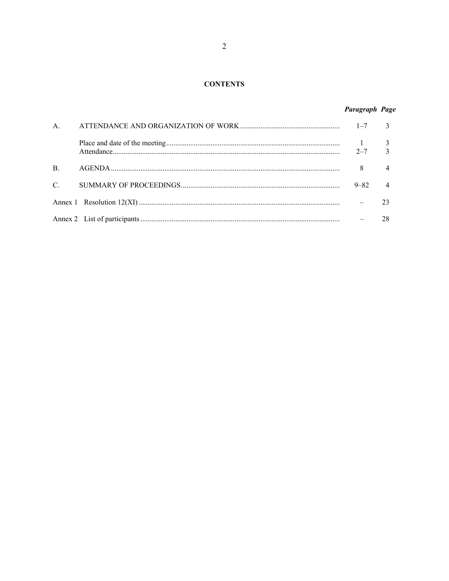### **CONTENTS**

# Paragraph Page

| A <sub>1</sub> |          |  |
|----------------|----------|--|
|                |          |  |
| $\mathbf{B}$   | 8        |  |
| $C_{\cdot}$    | $9 - 82$ |  |
|                |          |  |
|                |          |  |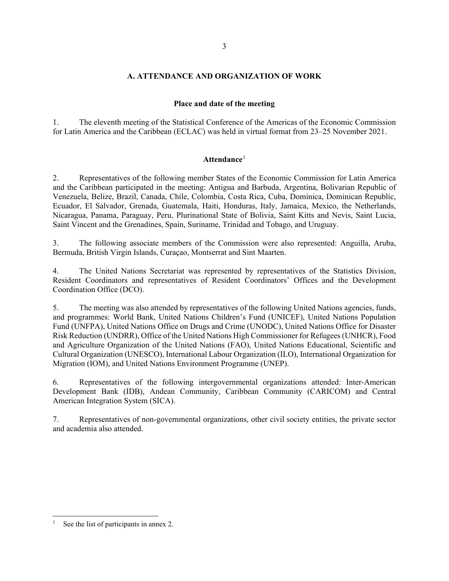### **A. ATTENDANCE AND ORGANIZATION OF WORK**

### **Place and date of the meeting**

1. The eleventh meeting of the Statistical Conference of the Americas of the Economic Commission for Latin America and the Caribbean (ECLAC) was held in virtual format from 23–25 November 2021.

## **Attendance**[1](#page-2-0)

2. Representatives of the following member States of the Economic Commission for Latin America and the Caribbean participated in the meeting: Antigua and Barbuda, Argentina, Bolivarian Republic of Venezuela, Belize, Brazil, Canada, Chile, Colombia, Costa Rica, Cuba, Dominica, Dominican Republic, Ecuador, El Salvador, Grenada, Guatemala, Haiti, Honduras, Italy, Jamaica, Mexico, the Netherlands, Nicaragua, Panama, Paraguay, Peru, Plurinational State of Bolivia, Saint Kitts and Nevis, Saint Lucia, Saint Vincent and the Grenadines, Spain, Suriname, Trinidad and Tobago, and Uruguay.

3. The following associate members of the Commission were also represented: Anguilla, Aruba, Bermuda, British Virgin Islands, Curaçao, Montserrat and Sint Maarten.

4. The United Nations Secretariat was represented by representatives of the Statistics Division, Resident Coordinators and representatives of Resident Coordinators' Offices and the Development Coordination Office (DCO).

5. The meeting was also attended by representatives of the following United Nations agencies, funds, and programmes: World Bank, United Nations Children's Fund (UNICEF), United Nations Population Fund (UNFPA), United Nations Office on Drugs and Crime (UNODC), United Nations Office for Disaster Risk Reduction (UNDRR), Office of the United Nations High Commissioner for Refugees (UNHCR), Food and Agriculture Organization of the United Nations (FAO), United Nations Educational, Scientific and Cultural Organization (UNESCO), International Labour Organization (ILO), International Organization for Migration (IOM), and United Nations Environment Programme (UNEP).

6. Representatives of the following intergovernmental organizations attended: Inter-American Development Bank (IDB), Andean Community, Caribbean Community (CARICOM) and Central American Integration System (SICA).

7. Representatives of non-governmental organizations, other civil society entities, the private sector and academia also attended.

<sup>3</sup>

<span id="page-2-0"></span><sup>1</sup> See the list of participants in annex 2.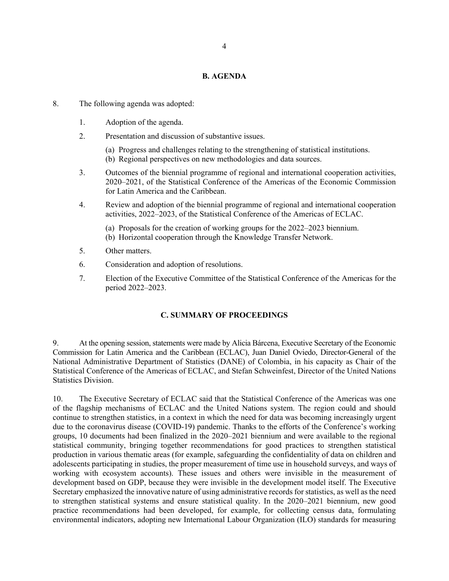#### **B. AGENDA**

- 8. The following agenda was adopted:
	- 1. Adoption of the agenda.
	- 2. Presentation and discussion of substantive issues.
		- (a) Progress and challenges relating to the strengthening of statistical institutions.
		- (b) Regional perspectives on new methodologies and data sources.
	- 3. Outcomes of the biennial programme of regional and international cooperation activities, 2020–2021, of the Statistical Conference of the Americas of the Economic Commission for Latin America and the Caribbean.
	- 4. Review and adoption of the biennial programme of regional and international cooperation activities, 2022–2023, of the Statistical Conference of the Americas of ECLAC.
		- (a) Proposals for the creation of working groups for the 2022–2023 biennium.
		- (b) Horizontal cooperation through the Knowledge Transfer Network.
	- 5. Other matters.
	- 6. Consideration and adoption of resolutions.
	- 7. Election of the Executive Committee of the Statistical Conference of the Americas for the period 2022–2023.

## **C. SUMMARY OF PROCEEDINGS**

9. At the opening session, statements were made by Alicia Bárcena, Executive Secretary of the Economic Commission for Latin America and the Caribbean (ECLAC), Juan Daniel Oviedo, Director-General of the National Administrative Department of Statistics (DANE) of Colombia, in his capacity as Chair of the Statistical Conference of the Americas of ECLAC, and Stefan Schweinfest, Director of the United Nations Statistics Division.

10. The Executive Secretary of ECLAC said that the Statistical Conference of the Americas was one of the flagship mechanisms of ECLAC and the United Nations system. The region could and should continue to strengthen statistics, in a context in which the need for data was becoming increasingly urgent due to the coronavirus disease (COVID-19) pandemic. Thanks to the efforts of the Conference's working groups, 10 documents had been finalized in the 2020–2021 biennium and were available to the regional statistical community, bringing together recommendations for good practices to strengthen statistical production in various thematic areas (for example, safeguarding the confidentiality of data on children and adolescents participating in studies, the proper measurement of time use in household surveys, and ways of working with ecosystem accounts). These issues and others were invisible in the measurement of development based on GDP, because they were invisible in the development model itself. The Executive Secretary emphasized the innovative nature of using administrative records for statistics, as well as the need to strengthen statistical systems and ensure statistical quality. In the 2020–2021 biennium, new good practice recommendations had been developed, for example, for collecting census data, formulating environmental indicators, adopting new International Labour Organization (ILO) standards for measuring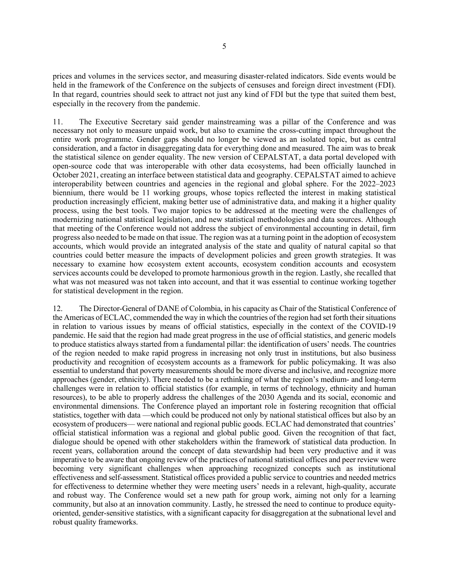prices and volumes in the services sector, and measuring disaster-related indicators. Side events would be held in the framework of the Conference on the subjects of censuses and foreign direct investment (FDI). In that regard, countries should seek to attract not just any kind of FDI but the type that suited them best, especially in the recovery from the pandemic.

11. The Executive Secretary said gender mainstreaming was a pillar of the Conference and was necessary not only to measure unpaid work, but also to examine the cross-cutting impact throughout the entire work programme. Gender gaps should no longer be viewed as an isolated topic, but as central consideration, and a factor in disaggregating data for everything done and measured. The aim was to break the statistical silence on gender equality. The new version of CEPALSTAT, a data portal developed with open-source code that was interoperable with other data ecosystems, had been officially launched in October 2021, creating an interface between statistical data and geography. CEPALSTAT aimed to achieve interoperability between countries and agencies in the regional and global sphere. For the 2022–2023 biennium, there would be 11 working groups, whose topics reflected the interest in making statistical production increasingly efficient, making better use of administrative data, and making it a higher quality process, using the best tools. Two major topics to be addressed at the meeting were the challenges of modernizing national statistical legislation, and new statistical methodologies and data sources. Although that meeting of the Conference would not address the subject of environmental accounting in detail, firm progress also needed to be made on that issue. The region was at a turning point in the adoption of ecosystem accounts, which would provide an integrated analysis of the state and quality of natural capital so that countries could better measure the impacts of development policies and green growth strategies. It was necessary to examine how ecosystem extent accounts, ecosystem condition accounts and ecosystem services accounts could be developed to promote harmonious growth in the region. Lastly, she recalled that what was not measured was not taken into account, and that it was essential to continue working together for statistical development in the region.

12. The Director-General of DANE of Colombia, in his capacity as Chair of the Statistical Conference of the Americas of ECLAC, commended the way in which the countries of the region had set forth their situations in relation to various issues by means of official statistics, especially in the context of the COVID-19 pandemic. He said that the region had made great progress in the use of official statistics, and generic models to produce statistics always started from a fundamental pillar: the identification of users' needs. The countries of the region needed to make rapid progress in increasing not only trust in institutions, but also business productivity and recognition of ecosystem accounts as a framework for public policymaking. It was also essential to understand that poverty measurements should be more diverse and inclusive, and recognize more approaches (gender, ethnicity). There needed to be a rethinking of what the region's medium- and long-term challenges were in relation to official statistics (for example, in terms of technology, ethnicity and human resources), to be able to properly address the challenges of the 2030 Agenda and its social, economic and environmental dimensions. The Conference played an important role in fostering recognition that official statistics, together with data —which could be produced not only by national statistical offices but also by an ecosystem of producers— were national and regional public goods. ECLAC had demonstrated that countries' official statistical information was a regional and global public good. Given the recognition of that fact, dialogue should be opened with other stakeholders within the framework of statistical data production. In recent years, collaboration around the concept of data stewardship had been very productive and it was imperative to be aware that ongoing review of the practices of national statistical offices and peer review were becoming very significant challenges when approaching recognized concepts such as institutional effectiveness and self-assessment. Statistical offices provided a public service to countries and needed metrics for effectiveness to determine whether they were meeting users' needs in a relevant, high-quality, accurate and robust way. The Conference would set a new path for group work, aiming not only for a learning community, but also at an innovation community. Lastly, he stressed the need to continue to produce equityoriented, gender-sensitive statistics, with a significant capacity for disaggregation at the subnational level and robust quality frameworks.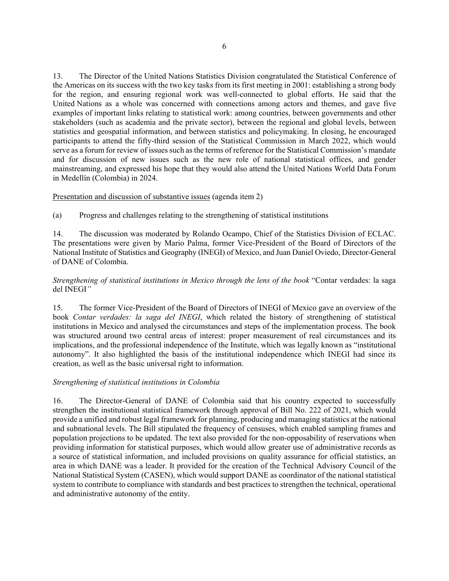13. The Director of the United Nations Statistics Division congratulated the Statistical Conference of the Americas on its success with the two key tasks from its first meeting in 2001: establishing a strong body for the region, and ensuring regional work was well-connected to global efforts. He said that the United Nations as a whole was concerned with connections among actors and themes, and gave five examples of important links relating to statistical work: among countries, between governments and other stakeholders (such as academia and the private sector), between the regional and global levels, between statistics and geospatial information, and between statistics and policymaking. In closing, he encouraged participants to attend the fifty-third session of the Statistical Commission in March 2022, which would serve as a forum for review of issues such as the terms of reference for the Statistical Commission's mandate and for discussion of new issues such as the new role of national statistical offices, and gender mainstreaming, and expressed his hope that they would also attend the United Nations World Data Forum in Medellín (Colombia) in 2024.

### Presentation and discussion of substantive issues (agenda item 2)

(a) Progress and challenges relating to the strengthening of statistical institutions

14. The discussion was moderated by Rolando Ocampo, Chief of the Statistics Division of ECLAC. The presentations were given by Mario Palma, former Vice-President of the Board of Directors of the National Institute of Statistics and Geography (INEGI) of Mexico, and Juan Daniel Oviedo, Director-General of DANE of Colombia.

## *Strengthening of statistical institutions in Mexico through the lens of the book* "Contar verdades: la saga del INEGI*"*

15. The former Vice-President of the Board of Directors of INEGI of Mexico gave an overview of the book *Contar verdades: la saga del INEGI*, which related the history of strengthening of statistical institutions in Mexico and analysed the circumstances and steps of the implementation process. The book was structured around two central areas of interest: proper measurement of real circumstances and its implications, and the professional independence of the Institute, which was legally known as "institutional autonomy". It also highlighted the basis of the institutional independence which INEGI had since its creation, as well as the basic universal right to information.

### *Strengthening of statistical institutions in Colombia*

16. The Director-General of DANE of Colombia said that his country expected to successfully strengthen the institutional statistical framework through approval of Bill No. 222 of 2021, which would provide a unified and robust legal framework for planning, producing and managing statistics at the national and subnational levels. The Bill stipulated the frequency of censuses, which enabled sampling frames and population projections to be updated. The text also provided for the non-opposability of reservations when providing information for statistical purposes, which would allow greater use of administrative records as a source of statistical information, and included provisions on quality assurance for official statistics, an area in which DANE was a leader. It provided for the creation of the Technical Advisory Council of the National Statistical System (CASEN), which would support DANE as coordinator of the national statistical system to contribute to compliance with standards and best practices to strengthen the technical, operational and administrative autonomy of the entity.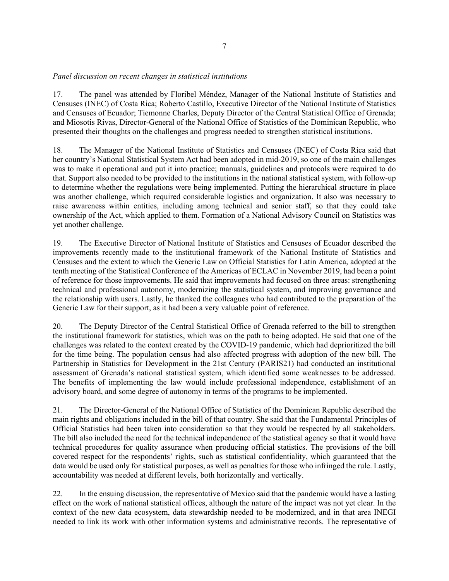## *Panel discussion on recent changes in statistical institutions*

17. The panel was attended by Floribel Méndez, Manager of the National Institute of Statistics and Censuses (INEC) of Costa Rica; Roberto Castillo, Executive Director of the National Institute of Statistics and Censuses of Ecuador; Tiemonne Charles, Deputy Director of the Central Statistical Office of Grenada; and Miosotis Rivas, Director-General of the National Office of Statistics of the Dominican Republic, who presented their thoughts on the challenges and progress needed to strengthen statistical institutions.

18. The Manager of the National Institute of Statistics and Censuses (INEC) of Costa Rica said that her country's National Statistical System Act had been adopted in mid-2019, so one of the main challenges was to make it operational and put it into practice; manuals, guidelines and protocols were required to do that. Support also needed to be provided to the institutions in the national statistical system, with follow-up to determine whether the regulations were being implemented. Putting the hierarchical structure in place was another challenge, which required considerable logistics and organization. It also was necessary to raise awareness within entities, including among technical and senior staff, so that they could take ownership of the Act, which applied to them. Formation of a National Advisory Council on Statistics was yet another challenge.

19. The Executive Director of National Institute of Statistics and Censuses of Ecuador described the improvements recently made to the institutional framework of the National Institute of Statistics and Censuses and the extent to which the Generic Law on Official Statistics for Latin America, adopted at the tenth meeting of the Statistical Conference of the Americas of ECLAC in November 2019, had been a point of reference for those improvements. He said that improvements had focused on three areas: strengthening technical and professional autonomy, modernizing the statistical system, and improving governance and the relationship with users. Lastly, he thanked the colleagues who had contributed to the preparation of the Generic Law for their support, as it had been a very valuable point of reference.

20. The Deputy Director of the Central Statistical Office of Grenada referred to the bill to strengthen the institutional framework for statistics, which was on the path to being adopted. He said that one of the challenges was related to the context created by the COVID-19 pandemic, which had deprioritized the bill for the time being. The population census had also affected progress with adoption of the new bill. The Partnership in Statistics for Development in the 21st Century (PARIS21) had conducted an institutional assessment of Grenada's national statistical system, which identified some weaknesses to be addressed. The benefits of implementing the law would include professional independence, establishment of an advisory board, and some degree of autonomy in terms of the programs to be implemented.

21. The Director-General of the National Office of Statistics of the Dominican Republic described the main rights and obligations included in the bill of that country. She said that the Fundamental Principles of Official Statistics had been taken into consideration so that they would be respected by all stakeholders. The bill also included the need for the technical independence of the statistical agency so that it would have technical procedures for quality assurance when producing official statistics. The provisions of the bill covered respect for the respondents' rights, such as statistical confidentiality, which guaranteed that the data would be used only for statistical purposes, as well as penalties for those who infringed the rule. Lastly, accountability was needed at different levels, both horizontally and vertically.

22. In the ensuing discussion, the representative of Mexico said that the pandemic would have a lasting effect on the work of national statistical offices, although the nature of the impact was not yet clear. In the context of the new data ecosystem, data stewardship needed to be modernized, and in that area INEGI needed to link its work with other information systems and administrative records. The representative of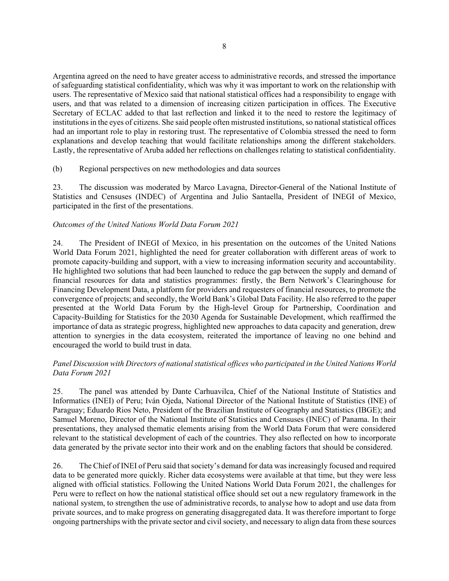Argentina agreed on the need to have greater access to administrative records, and stressed the importance of safeguarding statistical confidentiality, which was why it was important to work on the relationship with users. The representative of Mexico said that national statistical offices had a responsibility to engage with users, and that was related to a dimension of increasing citizen participation in offices. The Executive Secretary of ECLAC added to that last reflection and linked it to the need to restore the legitimacy of institutions in the eyes of citizens. She said people often mistrusted institutions, so national statistical offices had an important role to play in restoring trust. The representative of Colombia stressed the need to form explanations and develop teaching that would facilitate relationships among the different stakeholders. Lastly, the representative of Aruba added her reflections on challenges relating to statistical confidentiality.

(b) Regional perspectives on new methodologies and data sources

23. The discussion was moderated by Marco Lavagna, Director-General of the National Institute of Statistics and Censuses (INDEC) of Argentina and Julio Santaella, President of INEGI of Mexico, participated in the first of the presentations.

## *Outcomes of the United Nations World Data Forum 2021*

24. The President of INEGI of Mexico, in his presentation on the outcomes of the United Nations World Data Forum 2021, highlighted the need for greater collaboration with different areas of work to promote capacity-building and support, with a view to increasing information security and accountability. He highlighted two solutions that had been launched to reduce the gap between the supply and demand of financial resources for data and statistics programmes: firstly, the Bern Network's Clearinghouse for Financing Development Data, a platform for providers and requesters of financial resources, to promote the convergence of projects; and secondly, the World Bank's Global Data Facility. He also referred to the paper presented at the World Data Forum by the High-level Group for Partnership, Coordination and Capacity-Building for Statistics for the 2030 Agenda for Sustainable Development, which reaffirmed the importance of data as strategic progress, highlighted new approaches to data capacity and generation, drew attention to synergies in the data ecosystem, reiterated the importance of leaving no one behind and encouraged the world to build trust in data.

# *Panel Discussion with Directors of national statistical offices who participated in the United Nations World Data Forum 2021*

25. The panel was attended by Dante Carhuavilca, Chief of the National Institute of Statistics and Informatics (INEI) of Peru; Iván Ojeda, National Director of the National Institute of Statistics (INE) of Paraguay; Eduardo Rios Neto, President of the Brazilian Institute of Geography and Statistics (IBGE); and Samuel Moreno, Director of the National Institute of Statistics and Censuses (INEC) of Panama. In their presentations, they analysed thematic elements arising from the World Data Forum that were considered relevant to the statistical development of each of the countries. They also reflected on how to incorporate data generated by the private sector into their work and on the enabling factors that should be considered.

26. The Chief of INEI of Peru said that society's demand for data was increasingly focused and required data to be generated more quickly. Richer data ecosystems were available at that time, but they were less aligned with official statistics. Following the United Nations World Data Forum 2021, the challenges for Peru were to reflect on how the national statistical office should set out a new regulatory framework in the national system, to strengthen the use of administrative records, to analyse how to adopt and use data from private sources, and to make progress on generating disaggregated data. It was therefore important to forge ongoing partnerships with the private sector and civil society, and necessary to align data from these sources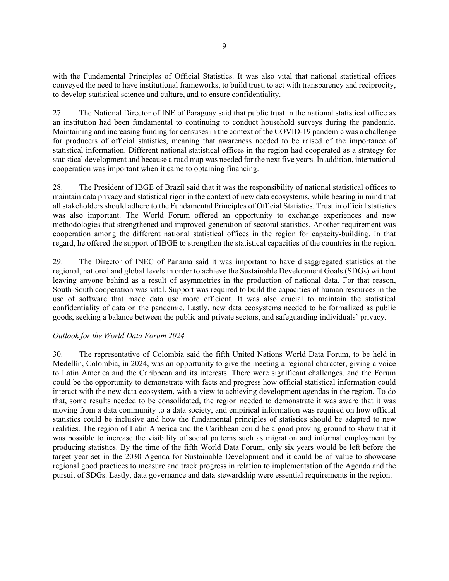with the Fundamental Principles of Official Statistics. It was also vital that national statistical offices conveyed the need to have institutional frameworks, to build trust, to act with transparency and reciprocity, to develop statistical science and culture, and to ensure confidentiality.

27. The National Director of INE of Paraguay said that public trust in the national statistical office as an institution had been fundamental to continuing to conduct household surveys during the pandemic. Maintaining and increasing funding for censuses in the context of the COVID-19 pandemic was a challenge for producers of official statistics, meaning that awareness needed to be raised of the importance of statistical information. Different national statistical offices in the region had cooperated as a strategy for statistical development and because a road map was needed for the next five years. In addition, international cooperation was important when it came to obtaining financing.

28. The President of IBGE of Brazil said that it was the responsibility of national statistical offices to maintain data privacy and statistical rigor in the context of new data ecosystems, while bearing in mind that all stakeholders should adhere to the Fundamental Principles of Official Statistics. Trust in official statistics was also important. The World Forum offered an opportunity to exchange experiences and new methodologies that strengthened and improved generation of sectoral statistics. Another requirement was cooperation among the different national statistical offices in the region for capacity-building. In that regard, he offered the support of IBGE to strengthen the statistical capacities of the countries in the region.

29. The Director of INEC of Panama said it was important to have disaggregated statistics at the regional, national and global levels in order to achieve the Sustainable Development Goals (SDGs) without leaving anyone behind as a result of asymmetries in the production of national data. For that reason, South-South cooperation was vital. Support was required to build the capacities of human resources in the use of software that made data use more efficient. It was also crucial to maintain the statistical confidentiality of data on the pandemic. Lastly, new data ecosystems needed to be formalized as public goods, seeking a balance between the public and private sectors, and safeguarding individuals' privacy.

## *Outlook for the World Data Forum 2024*

30. The representative of Colombia said the fifth United Nations World Data Forum, to be held in Medellín, Colombia, in 2024, was an opportunity to give the meeting a regional character, giving a voice to Latin America and the Caribbean and its interests. There were significant challenges, and the Forum could be the opportunity to demonstrate with facts and progress how official statistical information could interact with the new data ecosystem, with a view to achieving development agendas in the region. To do that, some results needed to be consolidated, the region needed to demonstrate it was aware that it was moving from a data community to a data society, and empirical information was required on how official statistics could be inclusive and how the fundamental principles of statistics should be adapted to new realities. The region of Latin America and the Caribbean could be a good proving ground to show that it was possible to increase the visibility of social patterns such as migration and informal employment by producing statistics. By the time of the fifth World Data Forum, only six years would be left before the target year set in the 2030 Agenda for Sustainable Development and it could be of value to showcase regional good practices to measure and track progress in relation to implementation of the Agenda and the pursuit of SDGs. Lastly, data governance and data stewardship were essential requirements in the region.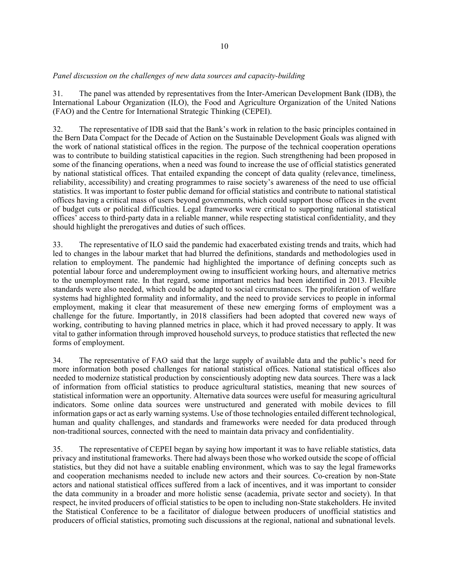## *Panel discussion on the challenges of new data sources and capacity-building*

31. The panel was attended by representatives from the Inter-American Development Bank (IDB), the International Labour Organization (ILO), the Food and Agriculture Organization of the United Nations (FAO) and the Centre for International Strategic Thinking (CEPEI).

32. The representative of IDB said that the Bank's work in relation to the basic principles contained in the Bern Data Compact for the Decade of Action on the Sustainable Development Goals was aligned with the work of national statistical offices in the region. The purpose of the technical cooperation operations was to contribute to building statistical capacities in the region. Such strengthening had been proposed in some of the financing operations, when a need was found to increase the use of official statistics generated by national statistical offices. That entailed expanding the concept of data quality (relevance, timeliness, reliability, accessibility) and creating programmes to raise society's awareness of the need to use official statistics. It was important to foster public demand for official statistics and contribute to national statistical offices having a critical mass of users beyond governments, which could support those offices in the event of budget cuts or political difficulties. Legal frameworks were critical to supporting national statistical offices' access to third-party data in a reliable manner, while respecting statistical confidentiality, and they should highlight the prerogatives and duties of such offices.

33. The representative of ILO said the pandemic had exacerbated existing trends and traits, which had led to changes in the labour market that had blurred the definitions, standards and methodologies used in relation to employment. The pandemic had highlighted the importance of defining concepts such as potential labour force and underemployment owing to insufficient working hours, and alternative metrics to the unemployment rate. In that regard, some important metrics had been identified in 2013. Flexible standards were also needed, which could be adapted to social circumstances. The proliferation of welfare systems had highlighted formality and informality, and the need to provide services to people in informal employment, making it clear that measurement of these new emerging forms of employment was a challenge for the future. Importantly, in 2018 classifiers had been adopted that covered new ways of working, contributing to having planned metrics in place, which it had proved necessary to apply. It was vital to gather information through improved household surveys, to produce statistics that reflected the new forms of employment.

34. The representative of FAO said that the large supply of available data and the public's need for more information both posed challenges for national statistical offices. National statistical offices also needed to modernize statistical production by conscientiously adopting new data sources. There was a lack of information from official statistics to produce agricultural statistics, meaning that new sources of statistical information were an opportunity. Alternative data sources were useful for measuring agricultural indicators. Some online data sources were unstructured and generated with mobile devices to fill information gaps or act as early warning systems. Use of those technologies entailed different technological, human and quality challenges, and standards and frameworks were needed for data produced through non-traditional sources, connected with the need to maintain data privacy and confidentiality.

35. The representative of CEPEI began by saying how important it was to have reliable statistics, data privacy and institutional frameworks. There had always been those who worked outside the scope of official statistics, but they did not have a suitable enabling environment, which was to say the legal frameworks and cooperation mechanisms needed to include new actors and their sources. Co-creation by non-State actors and national statistical offices suffered from a lack of incentives, and it was important to consider the data community in a broader and more holistic sense (academia, private sector and society). In that respect, he invited producers of official statistics to be open to including non-State stakeholders. He invited the Statistical Conference to be a facilitator of dialogue between producers of unofficial statistics and producers of official statistics, promoting such discussions at the regional, national and subnational levels.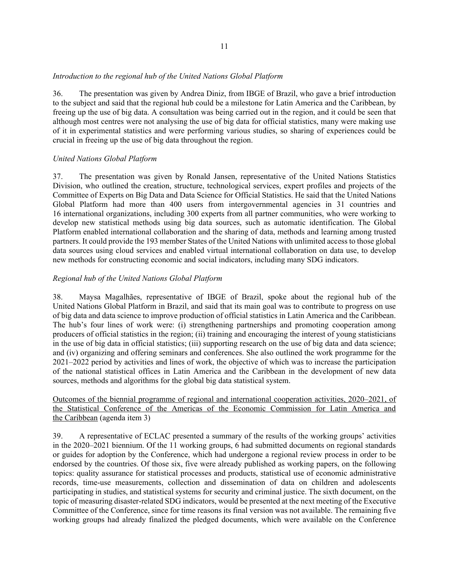## *Introduction to the regional hub of the United Nations Global Platform*

36. The presentation was given by Andrea Diniz, from IBGE of Brazil, who gave a brief introduction to the subject and said that the regional hub could be a milestone for Latin America and the Caribbean, by freeing up the use of big data. A consultation was being carried out in the region, and it could be seen that although most centres were not analysing the use of big data for official statistics, many were making use of it in experimental statistics and were performing various studies, so sharing of experiences could be crucial in freeing up the use of big data throughout the region.

## *United Nations Global Platform*

37. The presentation was given by Ronald Jansen, representative of the United Nations Statistics Division, who outlined the creation, structure, technological services, expert profiles and projects of the Committee of Experts on Big Data and Data Science for Official Statistics. He said that the United Nations Global Platform had more than 400 users from intergovernmental agencies in 31 countries and 16 international organizations, including 300 experts from all partner communities, who were working to develop new statistical methods using big data sources, such as automatic identification. The Global Platform enabled international collaboration and the sharing of data, methods and learning among trusted partners. It could provide the 193 member States of the United Nations with unlimited access to those global data sources using cloud services and enabled virtual international collaboration on data use, to develop new methods for constructing economic and social indicators, including many SDG indicators.

## *Regional hub of the United Nations Global Platform*

38. Maysa Magalhães, representative of IBGE of Brazil, spoke about the regional hub of the United Nations Global Platform in Brazil, and said that its main goal was to contribute to progress on use of big data and data science to improve production of official statistics in Latin America and the Caribbean. The hub's four lines of work were: (i) strengthening partnerships and promoting cooperation among producers of official statistics in the region; (ii) training and encouraging the interest of young statisticians in the use of big data in official statistics; (iii) supporting research on the use of big data and data science; and (iv) organizing and offering seminars and conferences. She also outlined the work programme for the 2021–2022 period by activities and lines of work, the objective of which was to increase the participation of the national statistical offices in Latin America and the Caribbean in the development of new data sources, methods and algorithms for the global big data statistical system.

## Outcomes of the biennial programme of regional and international cooperation activities, 2020–2021, of the Statistical Conference of the Americas of the Economic Commission for Latin America and the Caribbean (agenda item 3)

39. A representative of ECLAC presented a summary of the results of the working groups' activities in the 2020–2021 biennium. Of the 11 working groups, 6 had submitted documents on regional standards or guides for adoption by the Conference, which had undergone a regional review process in order to be endorsed by the countries. Of those six, five were already published as working papers, on the following topics: quality assurance for statistical processes and products, statistical use of economic administrative records, time-use measurements, collection and dissemination of data on children and adolescents participating in studies, and statistical systems for security and criminal justice. The sixth document, on the topic of measuring disaster-related SDG indicators, would be presented at the next meeting of the Executive Committee of the Conference, since for time reasons its final version was not available. The remaining five working groups had already finalized the pledged documents, which were available on the Conference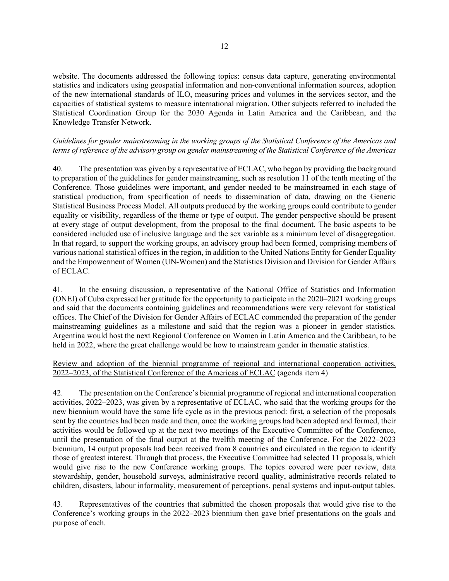website. The documents addressed the following topics: census data capture, generating environmental statistics and indicators using geospatial information and non-conventional information sources, adoption of the new international standards of ILO, measuring prices and volumes in the services sector, and the capacities of statistical systems to measure international migration. Other subjects referred to included the Statistical Coordination Group for the 2030 Agenda in Latin America and the Caribbean, and the Knowledge Transfer Network.

## *Guidelines for gender mainstreaming in the working groups of the Statistical Conference of the Americas and terms of reference of the advisory group on gender mainstreaming of the Statistical Conference of the Americas*

40. The presentation was given by a representative of ECLAC, who began by providing the background to preparation of the guidelines for gender mainstreaming, such as resolution 11 of the tenth meeting of the Conference. Those guidelines were important, and gender needed to be mainstreamed in each stage of statistical production, from specification of needs to dissemination of data, drawing on the Generic Statistical Business Process Model. All outputs produced by the working groups could contribute to gender equality or visibility, regardless of the theme or type of output. The gender perspective should be present at every stage of output development, from the proposal to the final document. The basic aspects to be considered included use of inclusive language and the sex variable as a minimum level of disaggregation. In that regard, to support the working groups, an advisory group had been formed, comprising members of various national statistical offices in the region, in addition to the United Nations Entity for Gender Equality and the Empowerment of Women (UN-Women) and the Statistics Division and Division for Gender Affairs of ECLAC.

41. In the ensuing discussion, a representative of the National Office of Statistics and Information (ONEI) of Cuba expressed her gratitude for the opportunity to participate in the 2020–2021 working groups and said that the documents containing guidelines and recommendations were very relevant for statistical offices. The Chief of the Division for Gender Affairs of ECLAC commended the preparation of the gender mainstreaming guidelines as a milestone and said that the region was a pioneer in gender statistics. Argentina would host the next Regional Conference on Women in Latin America and the Caribbean, to be held in 2022, where the great challenge would be how to mainstream gender in thematic statistics.

Review and adoption of the biennial programme of regional and international cooperation activities, 2022–2023, of the Statistical Conference of the Americas of ECLAC (agenda item 4)

42. The presentation on the Conference's biennial programme of regional and international cooperation activities, 2022–2023, was given by a representative of ECLAC, who said that the working groups for the new biennium would have the same life cycle as in the previous period: first, a selection of the proposals sent by the countries had been made and then, once the working groups had been adopted and formed, their activities would be followed up at the next two meetings of the Executive Committee of the Conference, until the presentation of the final output at the twelfth meeting of the Conference. For the 2022–2023 biennium, 14 output proposals had been received from 8 countries and circulated in the region to identify those of greatest interest. Through that process, the Executive Committee had selected 11 proposals, which would give rise to the new Conference working groups. The topics covered were peer review, data stewardship, gender, household surveys, administrative record quality, administrative records related to children, disasters, labour informality, measurement of perceptions, penal systems and input-output tables.

43. Representatives of the countries that submitted the chosen proposals that would give rise to the Conference's working groups in the 2022–2023 biennium then gave brief presentations on the goals and purpose of each.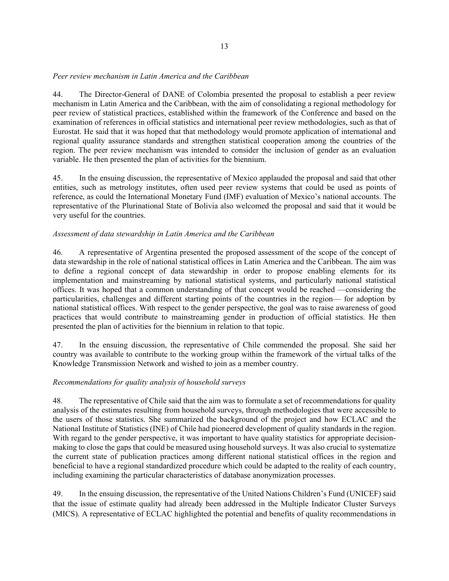## *Peer review mechanism in Latin America and the Caribbean*

44. The Director-General of DANE of Colombia presented the proposal to establish a peer review mechanism in Latin America and the Caribbean, with the aim of consolidating a regional methodology for peer review of statistical practices, established within the framework of the Conference and based on the examination of references in official statistics and international peer review methodologies, such as that of Eurostat. He said that it was hoped that that methodology would promote application of international and regional quality assurance standards and strengthen statistical cooperation among the countries of the region. The peer review mechanism was intended to consider the inclusion of gender as an evaluation variable. He then presented the plan of activities for the biennium.

45. In the ensuing discussion, the representative of Mexico applauded the proposal and said that other entities, such as metrology institutes, often used peer review systems that could be used as points of reference, as could the International Monetary Fund (IMF) evaluation of Mexico's national accounts. The representative of the Plurinational State of Bolivia also welcomed the proposal and said that it would be very useful for the countries.

## *Assessment of data stewardship in Latin America and the Caribbean*

46. A representative of Argentina presented the proposed assessment of the scope of the concept of data stewardship in the role of national statistical offices in Latin America and the Caribbean. The aim was to define a regional concept of data stewardship in order to propose enabling elements for its implementation and mainstreaming by national statistical systems, and particularly national statistical offices. It was hoped that a common understanding of that concept would be reached —considering the particularities, challenges and different starting points of the countries in the region— for adoption by national statistical offices. With respect to the gender perspective, the goal was to raise awareness of good practices that would contribute to mainstreaming gender in production of official statistics. He then presented the plan of activities for the biennium in relation to that topic.

47. In the ensuing discussion, the representative of Chile commended the proposal. She said her country was available to contribute to the working group within the framework of the virtual talks of the Knowledge Transmission Network and wished to join as a member country.

## *Recommendations for quality analysis of household surveys*

48. The representative of Chile said that the aim was to formulate a set of recommendations for quality analysis of the estimates resulting from household surveys, through methodologies that were accessible to the users of those statistics. She summarized the background of the project and how ECLAC and the National Institute of Statistics (INE) of Chile had pioneered development of quality standards in the region. With regard to the gender perspective, it was important to have quality statistics for appropriate decisionmaking to close the gaps that could be measured using household surveys. It was also crucial to systematize the current state of publication practices among different national statistical offices in the region and beneficial to have a regional standardized procedure which could be adapted to the reality of each country, including examining the particular characteristics of database anonymization processes.

49. In the ensuing discussion, the representative of the United Nations Children's Fund (UNICEF) said that the issue of estimate quality had already been addressed in the Multiple Indicator Cluster Surveys (MICS). A representative of ECLAC highlighted the potential and benefits of quality recommendations in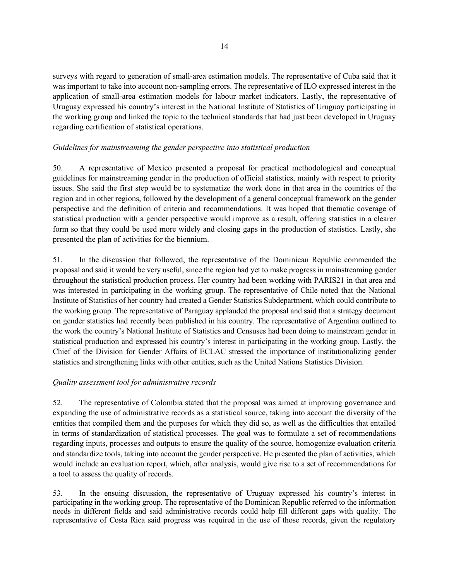surveys with regard to generation of small-area estimation models. The representative of Cuba said that it was important to take into account non-sampling errors. The representative of ILO expressed interest in the application of small-area estimation models for labour market indicators. Lastly, the representative of Uruguay expressed his country's interest in the National Institute of Statistics of Uruguay participating in the working group and linked the topic to the technical standards that had just been developed in Uruguay regarding certification of statistical operations.

# *Guidelines for mainstreaming the gender perspective into statistical production*

50. A representative of Mexico presented a proposal for practical methodological and conceptual guidelines for mainstreaming gender in the production of official statistics, mainly with respect to priority issues. She said the first step would be to systematize the work done in that area in the countries of the region and in other regions, followed by the development of a general conceptual framework on the gender perspective and the definition of criteria and recommendations. It was hoped that thematic coverage of statistical production with a gender perspective would improve as a result, offering statistics in a clearer form so that they could be used more widely and closing gaps in the production of statistics. Lastly, she presented the plan of activities for the biennium.

51. In the discussion that followed, the representative of the Dominican Republic commended the proposal and said it would be very useful, since the region had yet to make progress in mainstreaming gender throughout the statistical production process. Her country had been working with PARIS21 in that area and was interested in participating in the working group. The representative of Chile noted that the National Institute of Statistics of her country had created a Gender Statistics Subdepartment, which could contribute to the working group. The representative of Paraguay applauded the proposal and said that a strategy document on gender statistics had recently been published in his country. The representative of Argentina outlined to the work the country's National Institute of Statistics and Censuses had been doing to mainstream gender in statistical production and expressed his country's interest in participating in the working group. Lastly, the Chief of the Division for Gender Affairs of ECLAC stressed the importance of institutionalizing gender statistics and strengthening links with other entities, such as the United Nations Statistics Division.

## *Quality assessment tool for administrative records*

52. The representative of Colombia stated that the proposal was aimed at improving governance and expanding the use of administrative records as a statistical source, taking into account the diversity of the entities that compiled them and the purposes for which they did so, as well as the difficulties that entailed in terms of standardization of statistical processes. The goal was to formulate a set of recommendations regarding inputs, processes and outputs to ensure the quality of the source, homogenize evaluation criteria and standardize tools, taking into account the gender perspective. He presented the plan of activities, which would include an evaluation report, which, after analysis, would give rise to a set of recommendations for a tool to assess the quality of records.

53. In the ensuing discussion, the representative of Uruguay expressed his country's interest in participating in the working group. The representative of the Dominican Republic referred to the information needs in different fields and said administrative records could help fill different gaps with quality. The representative of Costa Rica said progress was required in the use of those records, given the regulatory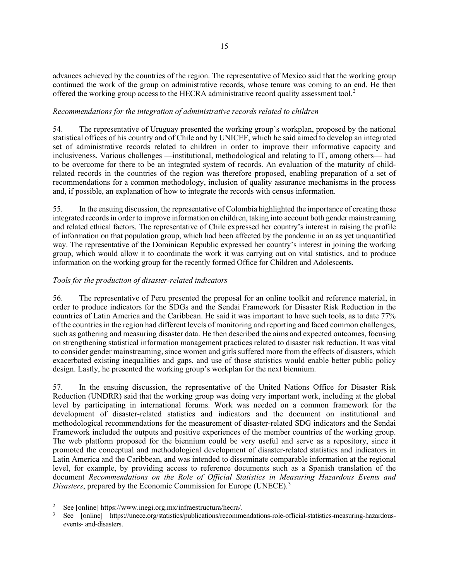advances achieved by the countries of the region. The representative of Mexico said that the working group continued the work of the group on administrative records, whose tenure was coming to an end. He then offered the working group access to the HECRA administrative record quality assessment tool.<sup>[2](#page-14-0)</sup>

## *Recommendations for the integration of administrative records related to children*

54. The representative of Uruguay presented the working group's workplan, proposed by the national statistical offices of his country and of Chile and by UNICEF, which he said aimed to develop an integrated set of administrative records related to children in order to improve their informative capacity and inclusiveness. Various challenges —institutional, methodological and relating to IT, among others— had to be overcome for there to be an integrated system of records. An evaluation of the maturity of childrelated records in the countries of the region was therefore proposed, enabling preparation of a set of recommendations for a common methodology, inclusion of quality assurance mechanisms in the process and, if possible, an explanation of how to integrate the records with census information.

55. In the ensuing discussion, the representative of Colombia highlighted the importance of creating these integrated records in order to improve information on children, taking into account both gender mainstreaming and related ethical factors. The representative of Chile expressed her country's interest in raising the profile of information on that population group, which had been affected by the pandemic in an as yet unquantified way. The representative of the Dominican Republic expressed her country's interest in joining the working group, which would allow it to coordinate the work it was carrying out on vital statistics, and to produce information on the working group for the recently formed Office for Children and Adolescents.

# *Tools for the production of disaster-related indicators*

56. The representative of Peru presented the proposal for an online toolkit and reference material, in order to produce indicators for the SDGs and the Sendai Framework for Disaster Risk Reduction in the countries of Latin America and the Caribbean. He said it was important to have such tools, as to date 77% of the countries in the region had different levels of monitoring and reporting and faced common challenges, such as gathering and measuring disaster data. He then described the aims and expected outcomes, focusing on strengthening statistical information management practices related to disaster risk reduction. It was vital to consider gender mainstreaming, since women and girls suffered more from the effects of disasters, which exacerbated existing inequalities and gaps, and use of those statistics would enable better public policy design. Lastly, he presented the working group's workplan for the next biennium.

57. In the ensuing discussion, the representative of the United Nations Office for Disaster Risk Reduction (UNDRR) said that the working group was doing very important work, including at the global level by participating in international forums. Work was needed on a common framework for the development of disaster-related statistics and indicators and the document on institutional and methodological recommendations for the measurement of disaster-related SDG indicators and the Sendai Framework included the outputs and positive experiences of the member countries of the working group. The web platform proposed for the biennium could be very useful and serve as a repository, since it promoted the conceptual and methodological development of disaster-related statistics and indicators in Latin America and the Caribbean, and was intended to disseminate comparable information at the regional level, for example, by providing access to reference documents such as a Spanish translation of the document *Recommendations on the Role of Official Statistics in Measuring Hazardous Events and Disasters*, prepared by the Economic Commission for Europe (UNECE).<sup>[3](#page-14-1)</sup>

<span id="page-14-0"></span><sup>2</sup> See [online] https://www.inegi.org.mx/infraestructura/hecra/.

<span id="page-14-1"></span><sup>3</sup> See [online] https://unece.org/statistics/publications/recommendations-role-official-statistics-measuring-hazardousevents- and-disasters.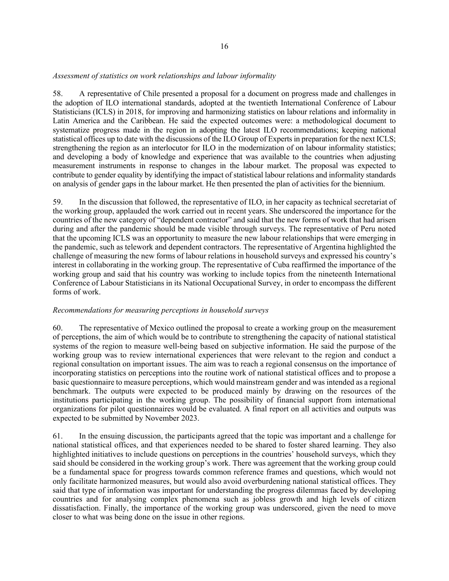### *Assessment of statistics on work relationships and labour informality*

58. A representative of Chile presented a proposal for a document on progress made and challenges in the adoption of ILO international standards, adopted at the twentieth International Conference of Labour Statisticians (ICLS) in 2018, for improving and harmonizing statistics on labour relations and informality in Latin America and the Caribbean. He said the expected outcomes were: a methodological document to systematize progress made in the region in adopting the latest ILO recommendations; keeping national statistical offices up to date with the discussions of the ILO Group of Experts in preparation for the next ICLS; strengthening the region as an interlocutor for ILO in the modernization of on labour informality statistics; and developing a body of knowledge and experience that was available to the countries when adjusting measurement instruments in response to changes in the labour market. The proposal was expected to contribute to gender equality by identifying the impact of statistical labour relations and informality standards on analysis of gender gaps in the labour market. He then presented the plan of activities for the biennium.

59. In the discussion that followed, the representative of ILO, in her capacity as technical secretariat of the working group, applauded the work carried out in recent years. She underscored the importance for the countries of the new category of "dependent contractor" and said that the new forms of work that had arisen during and after the pandemic should be made visible through surveys. The representative of Peru noted that the upcoming ICLS was an opportunity to measure the new labour relationships that were emerging in the pandemic, such as telework and dependent contractors. The representative of Argentina highlighted the challenge of measuring the new forms of labour relations in household surveys and expressed his country's interest in collaborating in the working group. The representative of Cuba reaffirmed the importance of the working group and said that his country was working to include topics from the nineteenth International Conference of Labour Statisticians in its National Occupational Survey, in order to encompass the different forms of work.

### *Recommendations for measuring perceptions in household surveys*

60. The representative of Mexico outlined the proposal to create a working group on the measurement of perceptions, the aim of which would be to contribute to strengthening the capacity of national statistical systems of the region to measure well-being based on subjective information. He said the purpose of the working group was to review international experiences that were relevant to the region and conduct a regional consultation on important issues. The aim was to reach a regional consensus on the importance of incorporating statistics on perceptions into the routine work of national statistical offices and to propose a basic questionnaire to measure perceptions, which would mainstream gender and was intended as a regional benchmark. The outputs were expected to be produced mainly by drawing on the resources of the institutions participating in the working group. The possibility of financial support from international organizations for pilot questionnaires would be evaluated. A final report on all activities and outputs was expected to be submitted by November 2023.

61. In the ensuing discussion, the participants agreed that the topic was important and a challenge for national statistical offices, and that experiences needed to be shared to foster shared learning. They also highlighted initiatives to include questions on perceptions in the countries' household surveys, which they said should be considered in the working group's work. There was agreement that the working group could be a fundamental space for progress towards common reference frames and questions, which would not only facilitate harmonized measures, but would also avoid overburdening national statistical offices. They said that type of information was important for understanding the progress dilemmas faced by developing countries and for analysing complex phenomena such as jobless growth and high levels of citizen dissatisfaction. Finally, the importance of the working group was underscored, given the need to move closer to what was being done on the issue in other regions.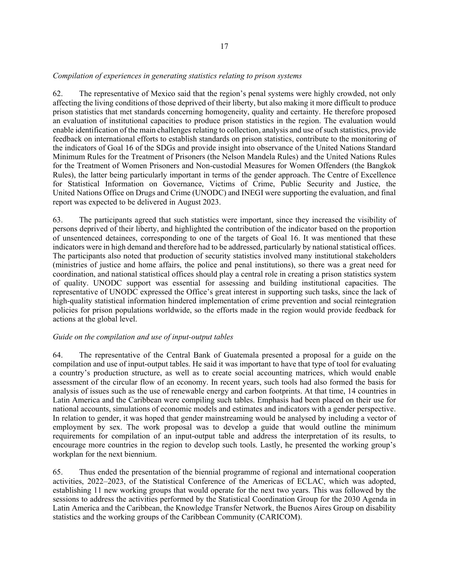### *Compilation of experiences in generating statistics relating to prison systems*

62. The representative of Mexico said that the region's penal systems were highly crowded, not only affecting the living conditions of those deprived of their liberty, but also making it more difficult to produce prison statistics that met standards concerning homogeneity, quality and certainty. He therefore proposed an evaluation of institutional capacities to produce prison statistics in the region. The evaluation would enable identification of the main challenges relating to collection, analysis and use of such statistics, provide feedback on international efforts to establish standards on prison statistics, contribute to the monitoring of the indicators of Goal 16 of the SDGs and provide insight into observance of the United Nations Standard Minimum Rules for the Treatment of Prisoners (the Nelson Mandela Rules) and the United Nations Rules for the Treatment of Women Prisoners and Non-custodial Measures for Women Offenders (the Bangkok Rules), the latter being particularly important in terms of the gender approach. The Centre of Excellence for Statistical Information on Governance, Victims of Crime, Public Security and Justice, the United Nations Office on Drugs and Crime (UNODC) and INEGI were supporting the evaluation, and final report was expected to be delivered in August 2023.

63. The participants agreed that such statistics were important, since they increased the visibility of persons deprived of their liberty, and highlighted the contribution of the indicator based on the proportion of unsentenced detainees, corresponding to one of the targets of Goal 16. It was mentioned that these indicators were in high demand and therefore had to be addressed, particularly by national statistical offices. The participants also noted that production of security statistics involved many institutional stakeholders (ministries of justice and home affairs, the police and penal institutions), so there was a great need for coordination, and national statistical offices should play a central role in creating a prison statistics system of quality. UNODC support was essential for assessing and building institutional capacities. The representative of UNODC expressed the Office's great interest in supporting such tasks, since the lack of high-quality statistical information hindered implementation of crime prevention and social reintegration policies for prison populations worldwide, so the efforts made in the region would provide feedback for actions at the global level.

### *Guide on the compilation and use of input-output tables*

64. The representative of the Central Bank of Guatemala presented a proposal for a guide on the compilation and use of input-output tables. He said it was important to have that type of tool for evaluating a country's production structure, as well as to create social accounting matrices, which would enable assessment of the circular flow of an economy. In recent years, such tools had also formed the basis for analysis of issues such as the use of renewable energy and carbon footprints. At that time, 14 countries in Latin America and the Caribbean were compiling such tables. Emphasis had been placed on their use for national accounts, simulations of economic models and estimates and indicators with a gender perspective. In relation to gender, it was hoped that gender mainstreaming would be analysed by including a vector of employment by sex. The work proposal was to develop a guide that would outline the minimum requirements for compilation of an input-output table and address the interpretation of its results, to encourage more countries in the region to develop such tools. Lastly, he presented the working group's workplan for the next biennium.

65. Thus ended the presentation of the biennial programme of regional and international cooperation activities, 2022–2023, of the Statistical Conference of the Americas of ECLAC, which was adopted, establishing 11 new working groups that would operate for the next two years. This was followed by the sessions to address the activities performed by the Statistical Coordination Group for the 2030 Agenda in Latin America and the Caribbean, the Knowledge Transfer Network, the Buenos Aires Group on disability statistics and the working groups of the Caribbean Community (CARICOM).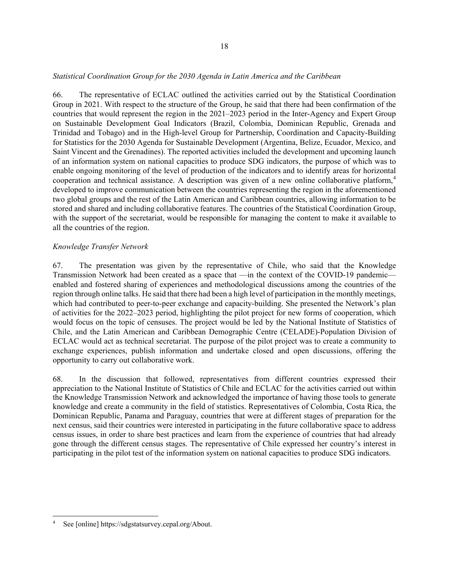#### *Statistical Coordination Group for the 2030 Agenda in Latin America and the Caribbean*

66. The representative of ECLAC outlined the activities carried out by the Statistical Coordination Group in 2021. With respect to the structure of the Group, he said that there had been confirmation of the countries that would represent the region in the 2021–2023 period in the Inter-Agency and Expert Group on Sustainable Development Goal Indicators (Brazil, Colombia, Dominican Republic, Grenada and Trinidad and Tobago) and in the High-level Group for Partnership, Coordination and Capacity-Building for Statistics for the 2030 Agenda for Sustainable Development (Argentina, Belize, Ecuador, Mexico, and Saint Vincent and the Grenadines). The reported activities included the development and upcoming launch of an information system on national capacities to produce SDG indicators, the purpose of which was to enable ongoing monitoring of the level of production of the indicators and to identify areas for horizontal cooperation and technical assistance. A description was given of a new online collaborative platform, [4](#page-17-0) developed to improve communication between the countries representing the region in the aforementioned two global groups and the rest of the Latin American and Caribbean countries, allowing information to be stored and shared and including collaborative features. The countries of the Statistical Coordination Group, with the support of the secretariat, would be responsible for managing the content to make it available to all the countries of the region.

### *Knowledge Transfer Network*

67. The presentation was given by the representative of Chile, who said that the Knowledge Transmission Network had been created as a space that —in the context of the COVID-19 pandemic enabled and fostered sharing of experiences and methodological discussions among the countries of the region through online talks. He said that there had been a high level of participation in the monthly meetings, which had contributed to peer-to-peer exchange and capacity-building. She presented the Network's plan of activities for the 2022–2023 period, highlighting the pilot project for new forms of cooperation, which would focus on the topic of censuses. The project would be led by the National Institute of Statistics of Chile, and the Latin American and Caribbean Demographic Centre (CELADE)-Population Division of ECLAC would act as technical secretariat. The purpose of the pilot project was to create a community to exchange experiences, publish information and undertake closed and open discussions, offering the opportunity to carry out collaborative work.

68. In the discussion that followed, representatives from different countries expressed their appreciation to the National Institute of Statistics of Chile and ECLAC for the activities carried out within the Knowledge Transmission Network and acknowledged the importance of having those tools to generate knowledge and create a community in the field of statistics. Representatives of Colombia, Costa Rica, the Dominican Republic, Panama and Paraguay, countries that were at different stages of preparation for the next census, said their countries were interested in participating in the future collaborative space to address census issues, in order to share best practices and learn from the experience of countries that had already gone through the different census stages. The representative of Chile expressed her country's interest in participating in the pilot test of the information system on national capacities to produce SDG indicators.

<span id="page-17-0"></span><sup>4</sup> See [online] https://sdgstatsurvey.cepal.org/About.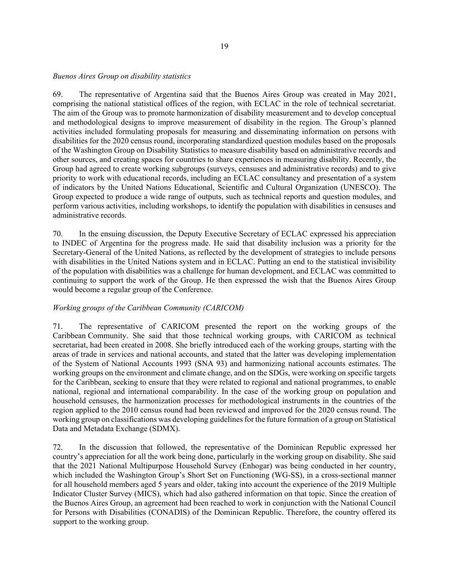#### *Buenos Aires Group on disability statistics*

69. The representative of Argentina said that the Buenos Aires Group was created in May 2021, comprising the national statistical offices of the region, with ECLAC in the role of technical secretariat. The aim of the Group was to promote harmonization of disability measurement and to develop conceptual and methodological designs to improve measurement of disability in the region. The Group's planned activities included formulating proposals for measuring and disseminating information on persons with disabilities for the 2020 census round, incorporating standardized question modules based on the proposals of the Washington Group on Disability Statistics to measure disability based on administrative records and other sources, and creating spaces for countries to share experiences in measuring disability. Recently, the Group had agreed to create working subgroups (surveys, censuses and administrative records) and to give priority to work with educational records, including an ECLAC consultancy and presentation of a system of indicators by the United Nations Educational, Scientific and Cultural Organization (UNESCO). The Group expected to produce a wide range of outputs, such as technical reports and question modules, and perform various activities, including workshops, to identify the population with disabilities in censuses and administrative records.

70. In the ensuing discussion, the Deputy Executive Secretary of ECLAC expressed his appreciation to INDEC of Argentina for the progress made. He said that disability inclusion was a priority for the Secretary-General of the United Nations, as reflected by the development of strategies to include persons with disabilities in the United Nations system and in ECLAC. Putting an end to the statistical invisibility of the population with disabilities was a challenge for human development, and ECLAC was committed to continuing to support the work of the Group. He then expressed the wish that the Buenos Aires Group would become a regular group of the Conference.

### *Working groups of the Caribbean Community (CARICOM)*

71. The representative of CARICOM presented the report on the working groups of the Caribbean Community. She said that those technical working groups, with CARICOM as technical secretariat, had been created in 2008. She briefly introduced each of the working groups, starting with the areas of trade in services and national accounts, and stated that the latter was developing implementation of the System of National Accounts 1993 (SNA 93) and harmonizing national accounts estimates. The working groups on the environment and climate change, and on the SDGs, were working on specific targets for the Caribbean, seeking to ensure that they were related to regional and national programmes, to enable national, regional and international comparability. In the case of the working group on population and household censuses, the harmonization processes for methodological instruments in the countries of the region applied to the 2010 census round had been reviewed and improved for the 2020 census round. The working group on classifications was developing guidelines for the future formation of a group on Statistical Data and Metadata Exchange (SDMX).

72. In the discussion that followed, the representative of the Dominican Republic expressed her country's appreciation for all the work being done, particularly in the working group on disability. She said that the 2021 National Multipurpose Household Survey (Enhogar) was being conducted in her country, which included the Washington Group's Short Set on Functioning (WG-SS), in a cross-sectional manner for all household members aged 5 years and older, taking into account the experience of the 2019 Multiple Indicator Cluster Survey (MICS), which had also gathered information on that topic. Since the creation of the Buenos Aires Group, an agreement had been reached to work in conjunction with the National Council for Persons with Disabilities (CONADIS) of the Dominican Republic. Therefore, the country offered its support to the working group.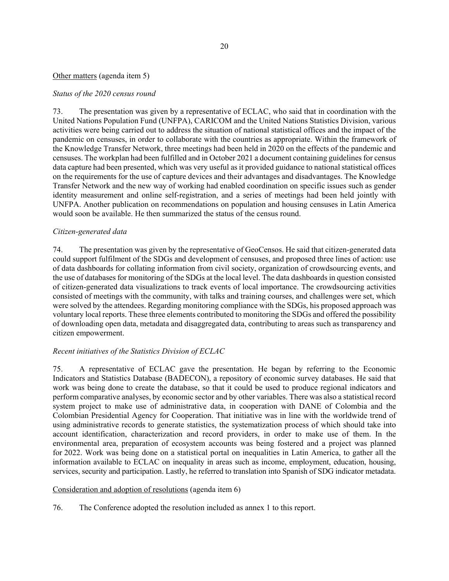## Other matters (agenda item 5)

### *Status of the 2020 census round*

73. The presentation was given by a representative of ECLAC, who said that in coordination with the United Nations Population Fund (UNFPA), CARICOM and the United Nations Statistics Division, various activities were being carried out to address the situation of national statistical offices and the impact of the pandemic on censuses, in order to collaborate with the countries as appropriate. Within the framework of the Knowledge Transfer Network, three meetings had been held in 2020 on the effects of the pandemic and censuses. The workplan had been fulfilled and in October 2021 a document containing guidelines for census data capture had been presented, which was very useful as it provided guidance to national statistical offices on the requirements for the use of capture devices and their advantages and disadvantages. The Knowledge Transfer Network and the new way of working had enabled coordination on specific issues such as gender identity measurement and online self-registration, and a series of meetings had been held jointly with UNFPA. Another publication on recommendations on population and housing censuses in Latin America would soon be available. He then summarized the status of the census round.

### *Citizen-generated data*

74. The presentation was given by the representative of GeoCensos. He said that citizen-generated data could support fulfilment of the SDGs and development of censuses, and proposed three lines of action: use of data dashboards for collating information from civil society, organization of crowdsourcing events, and the use of databases for monitoring of the SDGs at the local level. The data dashboards in question consisted of citizen-generated data visualizations to track events of local importance. The crowdsourcing activities consisted of meetings with the community, with talks and training courses, and challenges were set, which were solved by the attendees. Regarding monitoring compliance with the SDGs, his proposed approach was voluntary local reports. These three elements contributed to monitoring the SDGs and offered the possibility of downloading open data, metadata and disaggregated data, contributing to areas such as transparency and citizen empowerment.

## *Recent initiatives of the Statistics Division of ECLAC*

75. A representative of ECLAC gave the presentation. He began by referring to the Economic Indicators and Statistics Database (BADECON), a repository of economic survey databases. He said that work was being done to create the database, so that it could be used to produce regional indicators and perform comparative analyses, by economic sector and by other variables. There was also a statistical record system project to make use of administrative data, in cooperation with DANE of Colombia and the Colombian Presidential Agency for Cooperation. That initiative was in line with the worldwide trend of using administrative records to generate statistics, the systematization process of which should take into account identification, characterization and record providers, in order to make use of them. In the environmental area, preparation of ecosystem accounts was being fostered and a project was planned for 2022. Work was being done on a statistical portal on inequalities in Latin America, to gather all the information available to ECLAC on inequality in areas such as income, employment, education, housing, services, security and participation. Lastly, he referred to translation into Spanish of SDG indicator metadata.

### Consideration and adoption of resolutions (agenda item 6)

76. The Conference adopted the resolution included as annex 1 to this report.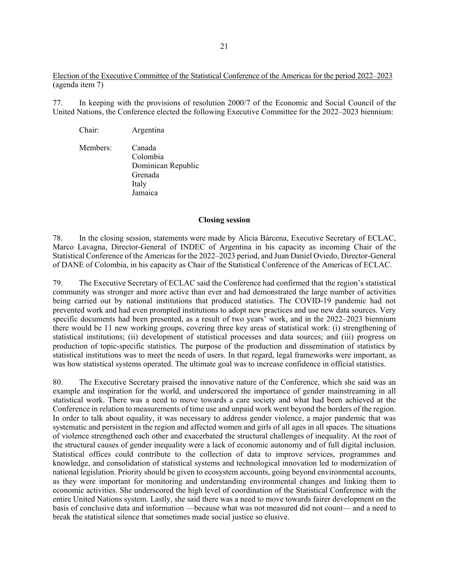Election of the Executive Committee of the Statistical Conference of the Americas for the period 2022–2023 (agenda item 7)

77. In keeping with the provisions of resolution 2000/7 of the Economic and Social Council of the United Nations, the Conference elected the following Executive Committee for the 2022–2023 biennium:

Chair: Argentina

Members: Canada Colombia Dominican Republic Grenada Italy Jamaica

#### **Closing session**

78. In the closing session, statements were made by Alicia Bárcena, Executive Secretary of ECLAC, Marco Lavagna, Director-General of INDEC of Argentina in his capacity as incoming Chair of the Statistical Conference of the Americas for the 2022–2023 period, and Juan Daniel Oviedo, Director-General of DANE of Colombia, in his capacity as Chair of the Statistical Conference of the Americas of ECLAC.

79. The Executive Secretary of ECLAC said the Conference had confirmed that the region's statistical community was stronger and more active than ever and had demonstrated the large number of activities being carried out by national institutions that produced statistics. The COVID-19 pandemic had not prevented work and had even prompted institutions to adopt new practices and use new data sources. Very specific documents had been presented, as a result of two years' work, and in the 2022–2023 biennium there would be 11 new working groups, covering three key areas of statistical work: (i) strengthening of statistical institutions; (ii) development of statistical processes and data sources; and (iii) progress on production of topic-specific statistics. The purpose of the production and dissemination of statistics by statistical institutions was to meet the needs of users. In that regard, legal frameworks were important, as was how statistical systems operated. The ultimate goal was to increase confidence in official statistics.

80. The Executive Secretary praised the innovative nature of the Conference, which she said was an example and inspiration for the world, and underscored the importance of gender mainstreaming in all statistical work. There was a need to move towards a care society and what had been achieved at the Conference in relation to measurements of time use and unpaid work went beyond the borders of the region. In order to talk about equality, it was necessary to address gender violence, a major pandemic that was systematic and persistent in the region and affected women and girls of all ages in all spaces. The situations of violence strengthened each other and exacerbated the structural challenges of inequality. At the root of the structural causes of gender inequality were a lack of economic autonomy and of full digital inclusion. Statistical offices could contribute to the collection of data to improve services, programmes and knowledge, and consolidation of statistical systems and technological innovation led to modernization of national legislation. Priority should be given to ecosystem accounts, going beyond environmental accounts, as they were important for monitoring and understanding environmental changes and linking them to economic activities. She underscored the high level of coordination of the Statistical Conference with the entire United Nations system. Lastly, she said there was a need to move towards fairer development on the basis of conclusive data and information —because what was not measured did not count— and a need to break the statistical silence that sometimes made social justice so elusive.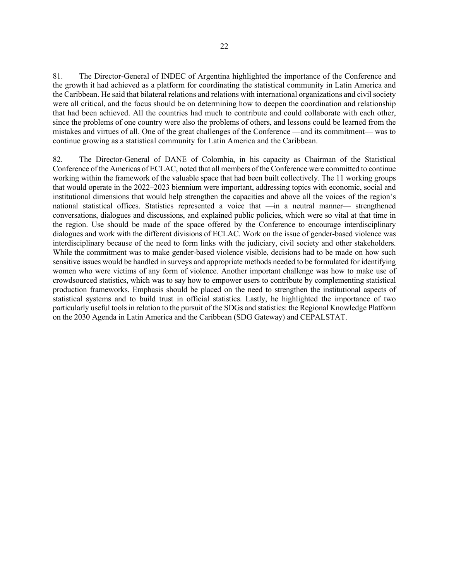81. The Director-General of INDEC of Argentina highlighted the importance of the Conference and the growth it had achieved as a platform for coordinating the statistical community in Latin America and the Caribbean. He said that bilateral relations and relations with international organizations and civil society were all critical, and the focus should be on determining how to deepen the coordination and relationship that had been achieved. All the countries had much to contribute and could collaborate with each other, since the problems of one country were also the problems of others, and lessons could be learned from the mistakes and virtues of all. One of the great challenges of the Conference —and its commitment— was to continue growing as a statistical community for Latin America and the Caribbean.

82. The Director-General of DANE of Colombia, in his capacity as Chairman of the Statistical Conference of the Americas of ECLAC, noted that all members of the Conference were committed to continue working within the framework of the valuable space that had been built collectively. The 11 working groups that would operate in the 2022–2023 biennium were important, addressing topics with economic, social and institutional dimensions that would help strengthen the capacities and above all the voices of the region's national statistical offices. Statistics represented a voice that —in a neutral manner— strengthened conversations, dialogues and discussions, and explained public policies, which were so vital at that time in the region. Use should be made of the space offered by the Conference to encourage interdisciplinary dialogues and work with the different divisions of ECLAC. Work on the issue of gender-based violence was interdisciplinary because of the need to form links with the judiciary, civil society and other stakeholders. While the commitment was to make gender-based violence visible, decisions had to be made on how such sensitive issues would be handled in surveys and appropriate methods needed to be formulated for identifying women who were victims of any form of violence. Another important challenge was how to make use of crowdsourced statistics, which was to say how to empower users to contribute by complementing statistical production frameworks. Emphasis should be placed on the need to strengthen the institutional aspects of statistical systems and to build trust in official statistics. Lastly, he highlighted the importance of two particularly useful tools in relation to the pursuit of the SDGs and statistics: the Regional Knowledge Platform on the 2030 Agenda in Latin America and the Caribbean (SDG Gateway) and CEPALSTAT.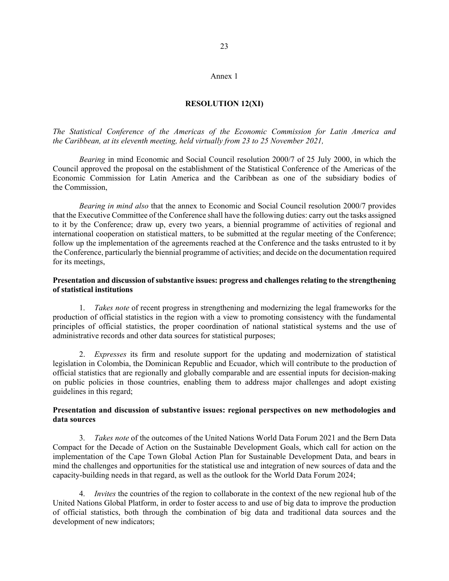#### Annex 1

#### **RESOLUTION 12(XI)**

*The Statistical Conference of the Americas of the Economic Commission for Latin America and the Caribbean, at its eleventh meeting, held virtually from 23 to 25 November 2021,*

*Bearing* in mind Economic and Social Council resolution 2000/7 of 25 July 2000, in which the Council approved the proposal on the establishment of the Statistical Conference of the Americas of the Economic Commission for Latin America and the Caribbean as one of the subsidiary bodies of the Commission,

*Bearing in mind also* that the annex to Economic and Social Council resolution 2000/7 provides that the Executive Committee of the Conference shall have the following duties: carry out the tasks assigned to it by the Conference; draw up, every two years, a biennial programme of activities of regional and international cooperation on statistical matters, to be submitted at the regular meeting of the Conference; follow up the implementation of the agreements reached at the Conference and the tasks entrusted to it by the Conference, particularly the biennial programme of activities; and decide on the documentation required for its meetings,

### **Presentation and discussion of substantive issues: progress and challenges relating to the strengthening of statistical institutions**

1. *Takes note* of recent progress in strengthening and modernizing the legal frameworks for the production of official statistics in the region with a view to promoting consistency with the fundamental principles of official statistics, the proper coordination of national statistical systems and the use of administrative records and other data sources for statistical purposes;

2. *Expresses* its firm and resolute support for the updating and modernization of statistical legislation in Colombia, the Dominican Republic and Ecuador, which will contribute to the production of official statistics that are regionally and globally comparable and are essential inputs for decision-making on public policies in those countries, enabling them to address major challenges and adopt existing guidelines in this regard;

### **Presentation and discussion of substantive issues: regional perspectives on new methodologies and data sources**

3. *Takes note* of the outcomes of the United Nations World Data Forum 2021 and the Bern Data Compact for the Decade of Action on the Sustainable Development Goals, which call for action on the implementation of the Cape Town Global Action Plan for Sustainable Development Data, and bears in mind the challenges and opportunities for the statistical use and integration of new sources of data and the capacity-building needs in that regard, as well as the outlook for the World Data Forum 2024;

4. *Invites* the countries of the region to collaborate in the context of the new regional hub of the United Nations Global Platform, in order to foster access to and use of big data to improve the production of official statistics, both through the combination of big data and traditional data sources and the development of new indicators;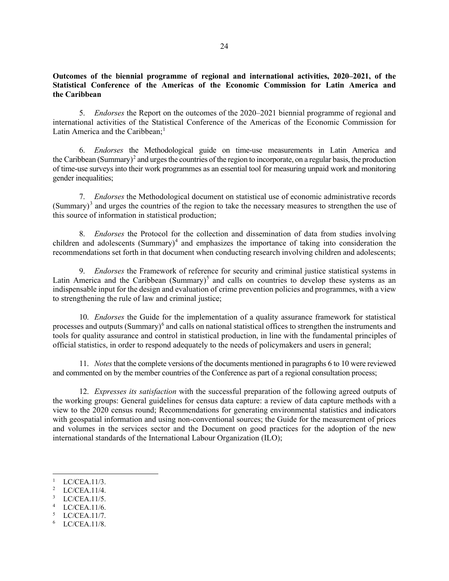## **Outcomes of the biennial programme of regional and international activities, 2020–2021, of the Statistical Conference of the Americas of the Economic Commission for Latin America and the Caribbean**

5. *Endorses* the Report on the outcomes of the 2020–2021 biennial programme of regional and international activities of the Statistical Conference of the Americas of the Economic Commission for Latin America and the Caribbean; $<sup>1</sup>$  $<sup>1</sup>$  $<sup>1</sup>$ </sup>

6. *Endorses* the Methodological guide on time-use measurements in Latin America and the Caribbean (Summary)<sup>[2](#page-23-1)</sup> and urges the countries of the region to incorporate, on a regular basis, the production of time-use surveys into their work programmes as an essential tool for measuring unpaid work and monitoring gender inequalities;

7. *Endorses* the Methodological document on statistical use of economic administrative records  $(Summary)^3$  $(Summary)^3$  and urges the countries of the region to take the necessary measures to strengthen the use of this source of information in statistical production;

8. *Endorses* the Protocol for the collection and dissemination of data from studies involving children and adolescents (Summary)<sup>[4](#page-23-3)</sup> and emphasizes the importance of taking into consideration the recommendations set forth in that document when conducting research involving children and adolescents;

9. *Endorses* the Framework of reference for security and criminal justice statistical systems in Latin America and the Caribbean (Summary)<sup>[5](#page-23-4)</sup> and calls on countries to develop these systems as an indispensable input for the design and evaluation of crime prevention policies and programmes, with a view to strengthening the rule of law and criminal justice;

10. *Endorses* the Guide for the implementation of a quality assurance framework for statistical processes and outputs (Summary)<sup>[6](#page-23-5)</sup> and calls on national statistical offices to strengthen the instruments and tools for quality assurance and control in statistical production, in line with the fundamental principles of official statistics, in order to respond adequately to the needs of policymakers and users in general;

11. *Notes* that the complete versions of the documents mentioned in paragraphs 6 to 10 were reviewed and commented on by the member countries of the Conference as part of a regional consultation process;

12. *Expresses its satisfaction* with the successful preparation of the following agreed outputs of the working groups: General guidelines for census data capture: a review of data capture methods with a view to the 2020 census round; Recommendations for generating environmental statistics and indicators with geospatial information and using non-conventional sources; the Guide for the measurement of prices and volumes in the services sector and the Document on good practices for the adoption of the new international standards of the International Labour Organization (ILO);

- <span id="page-23-1"></span>2 LC/CEA.11/4.
- <span id="page-23-2"></span>3 LC/CEA.11/5.
- <span id="page-23-3"></span>4 LC/CEA.11/6.
- <span id="page-23-4"></span>5 LC/CEA.11/7.
- <span id="page-23-5"></span>6 LC/CEA.11/8.

<span id="page-23-0"></span><sup>1</sup> LC/CEA.11/3.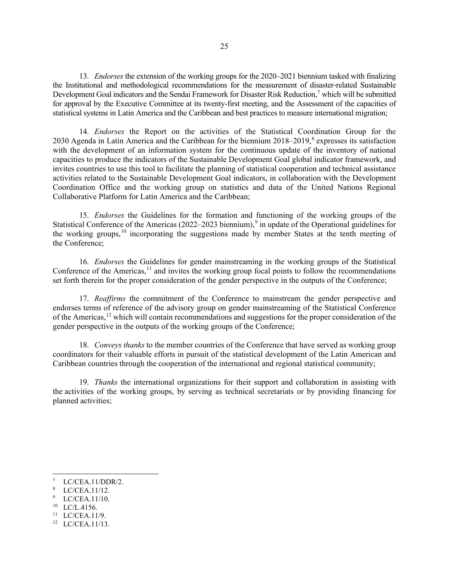13. *Endorses* the extension of the working groups for the 2020–2021 biennium tasked with finalizing the Institutional and methodological recommendations for the measurement of disaster-related Sustainable Development Goal indicators and the Sendai Framework for Disaster Risk Reduction,<sup>[7](#page-24-0)</sup> which will be submitted for approval by the Executive Committee at its twenty-first meeting, and the Assessment of the capacities of statistical systems in Latin America and the Caribbean and best practices to measure international migration;

14. *Endorses* the Report on the activities of the Statistical Coordination Group for the 2030 Agenda in Latin America and the Caribbean for the biennium  $2018-2019$  $2018-2019$  $2018-2019$ , expresses its satisfaction with the development of an information system for the continuous update of the inventory of national capacities to produce the indicators of the Sustainable Development Goal global indicator framework, and invites countries to use this tool to facilitate the planning of statistical cooperation and technical assistance activities related to the Sustainable Development Goal indicators, in collaboration with the Development Coordination Office and the working group on statistics and data of the United Nations Regional Collaborative Platform for Latin America and the Caribbean;

15. *Endorses* the Guidelines for the formation and functioning of the working groups of the Statistical Conference of the Americas (2022–2023 biennium),<sup>[9](#page-24-2)</sup> in update of the Operational guidelines for the working groups,<sup>[10](#page-24-3)</sup> incorporating the suggestions made by member States at the tenth meeting of the Conference;

16. *Endorses* the Guidelines for gender mainstreaming in the working groups of the Statistical Conference of the Americas, $^{11}$  $^{11}$  $^{11}$  and invites the working group focal points to follow the recommendations set forth therein for the proper consideration of the gender perspective in the outputs of the Conference;

17. *Reaffirms* the commitment of the Conference to mainstream the gender perspective and endorses terms of reference of the advisory group on gender mainstreaming of the Statistical Conference of the Americas,<sup>[12](#page-24-5)</sup> which will contain recommendations and suggestions for the proper consideration of the gender perspective in the outputs of the working groups of the Conference;

18. *Conveys thanks* to the member countries of the Conference that have served as working group coordinators for their valuable efforts in pursuit of the statistical development of the Latin American and Caribbean countries through the cooperation of the international and regional statistical community;

19. *Thanks* the international organizations for their support and collaboration in assisting with the activities of the working groups, by serving as technical secretariats or by providing financing for planned activities;

- <span id="page-24-3"></span>10 LC/L.4156.
- <span id="page-24-4"></span> $11$  LC/CEA.11/9.

<span id="page-24-0"></span><sup>7</sup> LC/CEA.11/DDR/2.

<span id="page-24-1"></span><sup>8</sup> LC/CEA.11/12.

<span id="page-24-2"></span><sup>9</sup> LC/CEA.11/10.

<span id="page-24-5"></span><sup>12</sup> LC/CEA.11/13.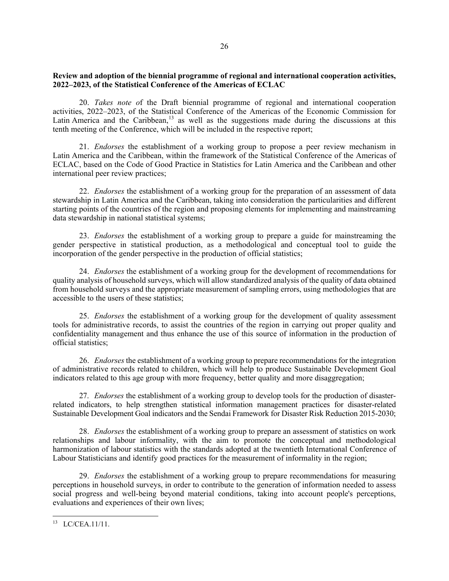## **Review and adoption of the biennial programme of regional and international cooperation activities, 2022–2023, of the Statistical Conference of the Americas of ECLAC**

20. *Takes note o*f the Draft biennial programme of regional and international cooperation activities, 2022‒2023, of the Statistical Conference of the Americas of the Economic Commission for Latin America and the Caribbean,<sup>[13](#page-25-0)</sup> as well as the suggestions made during the discussions at this tenth meeting of the Conference, which will be included in the respective report;

21. *Endorses* the establishment of a working group to propose a peer review mechanism in Latin America and the Caribbean, within the framework of the Statistical Conference of the Americas of ECLAC, based on the Code of Good Practice in Statistics for Latin America and the Caribbean and other international peer review practices;

22. *Endorses* the establishment of a working group for the preparation of an assessment of data stewardship in Latin America and the Caribbean, taking into consideration the particularities and different starting points of the countries of the region and proposing elements for implementing and mainstreaming data stewardship in national statistical systems;

23. *Endorses* the establishment of a working group to prepare a guide for mainstreaming the gender perspective in statistical production, as a methodological and conceptual tool to guide the incorporation of the gender perspective in the production of official statistics;

24. *Endorses* the establishment of a working group for the development of recommendations for quality analysis of household surveys, which will allow standardized analysis of the quality of data obtained from household surveys and the appropriate measurement of sampling errors, using methodologies that are accessible to the users of these statistics;

25. *Endorses* the establishment of a working group for the development of quality assessment tools for administrative records, to assist the countries of the region in carrying out proper quality and confidentiality management and thus enhance the use of this source of information in the production of official statistics;

26. *Endorses* the establishment of a working group to prepare recommendations for the integration of administrative records related to children, which will help to produce Sustainable Development Goal indicators related to this age group with more frequency, better quality and more disaggregation;

27. *Endorses* the establishment of a working group to develop tools for the production of disasterrelated indicators, to help strengthen statistical information management practices for disaster-related Sustainable Development Goal indicators and the Sendai Framework for Disaster Risk Reduction 2015-2030;

28. *Endorses* the establishment of a working group to prepare an assessment of statistics on work relationships and labour informality, with the aim to promote the conceptual and methodological harmonization of labour statistics with the standards adopted at the twentieth International Conference of Labour Statisticians and identify good practices for the measurement of informality in the region;

29. *Endorses* the establishment of a working group to prepare recommendations for measuring perceptions in household surveys, in order to contribute to the generation of information needed to assess social progress and well-being beyond material conditions, taking into account people's perceptions, evaluations and experiences of their own lives;

<span id="page-25-0"></span><sup>13</sup> LC/CEA.11/11.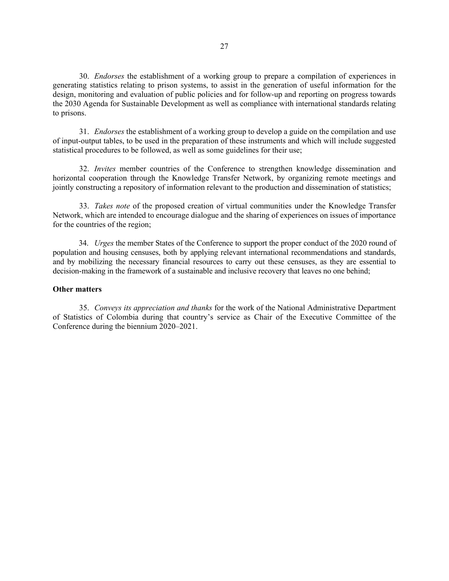30. *Endorses* the establishment of a working group to prepare a compilation of experiences in generating statistics relating to prison systems, to assist in the generation of useful information for the design, monitoring and evaluation of public policies and for follow-up and reporting on progress towards the 2030 Agenda for Sustainable Development as well as compliance with international standards relating to prisons.

31. *Endorses* the establishment of a working group to develop a guide on the compilation and use of input-output tables, to be used in the preparation of these instruments and which will include suggested statistical procedures to be followed, as well as some guidelines for their use;

32. *Invites* member countries of the Conference to strengthen knowledge dissemination and horizontal cooperation through the Knowledge Transfer Network, by organizing remote meetings and jointly constructing a repository of information relevant to the production and dissemination of statistics;

33. *Takes note* of the proposed creation of virtual communities under the Knowledge Transfer Network, which are intended to encourage dialogue and the sharing of experiences on issues of importance for the countries of the region;

34. *Urges* the member States of the Conference to support the proper conduct of the 2020 round of population and housing censuses, both by applying relevant international recommendations and standards, and by mobilizing the necessary financial resources to carry out these censuses, as they are essential to decision-making in the framework of a sustainable and inclusive recovery that leaves no one behind;

#### **Other matters**

35. *Conveys its appreciation and thanks* for the work of the National Administrative Department of Statistics of Colombia during that country's service as Chair of the Executive Committee of the Conference during the biennium 2020–2021.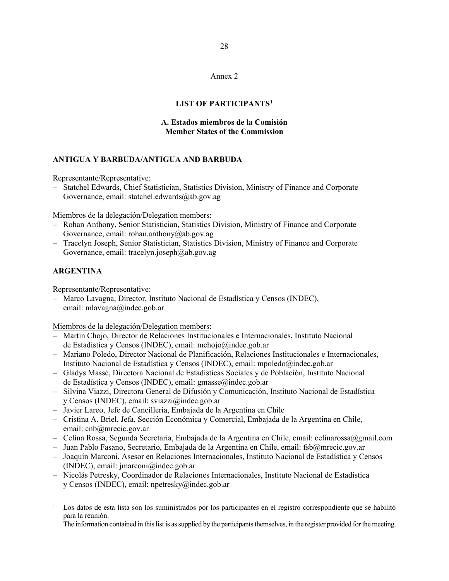28

# Annex 2

### **LIST OF PARTICIPANTS[1](#page-27-0)**

### **A. Estados miembros de la Comisión Member States of the Commission**

### **ANTIGUA Y BARBUDA/ANTIGUA AND BARBUDA**

Representante/Representative:

– Statchel Edwards, Chief Statistician, Statistics Division, Ministry of Finance and Corporate Governance, email: statchel.edwards@ab.gov.ag

Miembros de la delegación/Delegation members:

- Rohan Anthony, Senior Statistician, Statistics Division, Ministry of Finance and Corporate Governance, email: rohan.anthony@ab.gov.ag
- Tracelyn Joseph, Senior Statistician, Statistics Division, Ministry of Finance and Corporate Governance, email: tracelyn.joseph@ab.gov.ag

## **ARGENTINA**

Representante/Representative:

– Marco Lavagna, Director, Instituto Nacional de Estadística y Censos (INDEC), email: mlavagna@indec.gob.ar

Miembros de la delegación/Delegation members:

- Martín Chojo, Director de Relaciones Institucionales e Internacionales, Instituto Nacional de Estadística y Censos (INDEC), email: mchojo@indec.gob.ar
- Mariano Poledo, Director Nacional de Planificación, Relaciones Institucionales e Internacionales, Instituto Nacional de Estadística y Censos (INDEC), email: mpoledo@indec.gob.ar
- Gladys Massé, Directora Nacional de Estadísticas Sociales y de Población, Instituto Nacional de Estadística y Censos (INDEC), email: gmasse@indec.gob.ar
- Silvina Viazzi, Directora General de Difusión y Comunicación, Instituto Nacional de Estadística y Censos (INDEC), email: sviazzi@indec.gob.ar
- Javier Lareo, Jefe de Cancillería, Embajada de la Argentina en Chile
- Cristina A. Briel, Jefa, Sección Económica y Comercial, Embajada de la Argentina en Chile, email: cnb@mrecic.gov.ar
- Celina Rossa, Segunda Secretaria, Embajada de la Argentina en Chile, email: celinarossa@gmail.com
- Juan Pablo Fasano, Secretario, Embajada de la Argentina en Chile, email: fsb@mrecic.gov.ar
- Joaquín Marconi, Asesor en Relaciones Internacionales, Instituto Nacional de Estadística y Censos (INDEC), email: jmarconi@indec.gob.ar
- Nicolás Petresky, Coordinador de Relaciones Internacionales, Instituto Nacional de Estadística y Censos (INDEC), email: npetresky@indec.gob.ar

<span id="page-27-0"></span><sup>1</sup> Los datos de esta lista son los suministrados por los participantes en el registro correspondiente que se habilitó para la reunión.

The information contained in this list is as supplied by the participants themselves, in the register provided for the meeting.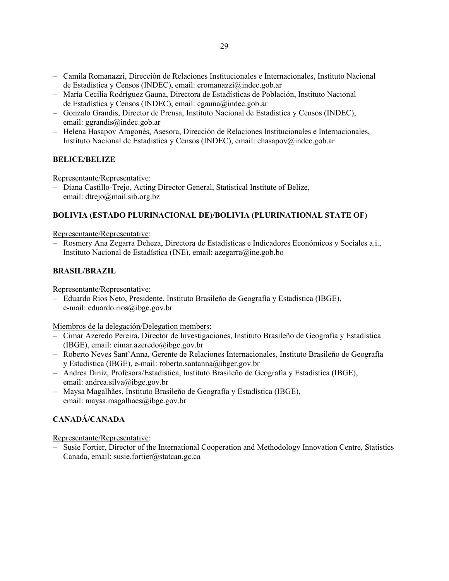- Camila Romanazzi, Dirección de Relaciones Institucionales e Internacionales, Instituto Nacional de Estadística y Censos (INDEC), email: cromanazzi@indec.gob.ar
- María Cecilia Rodríguez Gauna, Directora de Estadísticas de Población, Instituto Nacional de Estadística y Censos (INDEC), email: cgauna@indec.gob.ar
- Gonzalo Grandis, Director de Prensa, Instituto Nacional de Estadística y Censos (INDEC), email: ggrandis@indec.gob.ar
- Helena Hasapov Aragonés, Asesora, Dirección de Relaciones Institucionales e Internacionales, Instituto Nacional de Estadística y Censos (INDEC), email: ehasapov@indec.gob.ar

# **BELICE/BELIZE**

Representante/Representative:

– Diana Castillo-Trejo, Acting Director General, Statistical Institute of Belize, email: dtrejo@mail.sib.org.bz

# **BOLIVIA (ESTADO PLURINACIONAL DE)/BOLIVIA (PLURINATIONAL STATE OF)**

Representante/Representative:

– Rosmery Ana Zegarra Deheza, Directora de Estadísticas e Indicadores Económicos y Sociales a.i., Instituto Nacional de Estadística (INE), email: azegarra@ine.gob.bo

## **BRASIL/BRAZIL**

Representante/Representative:

– Eduardo Rios Neto, Presidente, Instituto Brasileño de Geografía y Estadística (IBGE), e-mail: eduardo.rios@ibge.gov.br

Miembros de la delegación/Delegation members:

- Cimar Azeredo Pereira, Director de Investigaciones, Instituto Brasileño de Geografía y Estadística (IBGE), email: cimar.azeredo@ibge.gov.br
- Roberto Neves Sant'Anna, Gerente de Relaciones Internacionales, Instituto Brasileño de Geografía y Estadística (IBGE), e-mail: roberto.santanna@ibger.gov.br
- Andrea Diniz, Profesora/Estadística, Instituto Brasileño de Geografía y Estadística (IBGE), email: andrea.silva@ibge.gov.br
- Maysa Magalhães, Instituto Brasileño de Geografía y Estadística (IBGE), email: maysa.magalhaes@ibge.gov.br

# **CANADÁ/CANADA**

Representante/Representative:

– Susie Fortier, Director of the International Cooperation and Methodology Innovation Centre, Statistics Canada, email: susie.fortier@statcan.gc.ca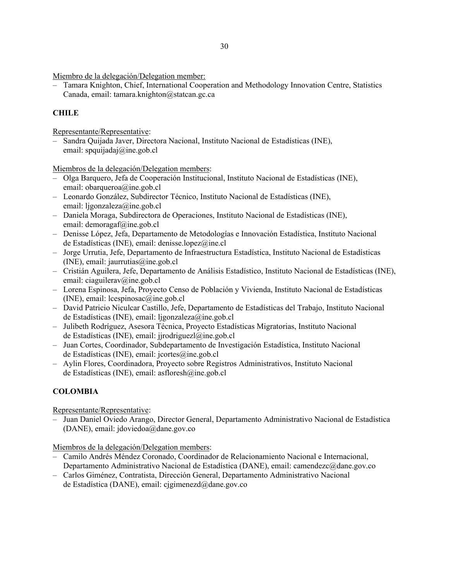– Tamara Knighton, Chief, International Cooperation and Methodology Innovation Centre, Statistics Canada, email: tamara.knighton@statcan.gc.ca

# **CHILE**

Representante/Representative:

– Sandra Quijada Javer, Directora Nacional, Instituto Nacional de Estadísticas (INE), email: spquijadaj@ine.gob.cl

Miembros de la delegación/Delegation members:

- Olga Barquero, Jefa de Cooperación Institucional, Instituto Nacional de Estadísticas (INE), email: obarqueroa@ine.gob.cl
- Leonardo González, Subdirector Técnico, Instituto Nacional de Estadísticas (INE), email: ljgonzaleza@ine.gob.cl
- Daniela Moraga, Subdirectora de Operaciones, Instituto Nacional de Estadísticas (INE), email: demoragaf@ine.gob.cl
- Denisse López, Jefa, Departamento de Metodologías e Innovación Estadística, Instituto Nacional de Estadísticas (INE), email: denisse.lopez@ine.cl
- Jorge Urrutia, Jefe, Departamento de Infraestructura Estadística, Instituto Nacional de Estadísticas (INE), email: jaurrutias@ine.gob.cl
- Cristián Aguilera, Jefe, Departamento de Análisis Estadístico, Instituto Nacional de Estadísticas (INE), email: ciaguilerav@ine.gob.cl
- Lorena Espinosa, Jefa, Proyecto Censo de Población y Vivienda, Instituto Nacional de Estadísticas (INE), email:  $leospinosac(\vec{a})$ ine.gob.cl
- David Patricio Niculcar Castillo, Jefe, Departamento de Estadísticas del Trabajo, Instituto Nacional de Estadísticas (INE), email: ljgonzaleza@ine.gob.cl
- Julibeth Rodríguez, Asesora Técnica, Proyecto Estadísticas Migratorias, Instituto Nacional de Estadísticas (INE), email: jjrodriguezl@ine.gob.cl
- Juan Cortes, Coordinador, Subdepartamento de Investigación Estadística, Instituto Nacional de Estadísticas (INE), email: jcortes@ine.gob.cl
- Aylin Flores, Coordinadora, Proyecto sobre Registros Administrativos, Instituto Nacional de Estadísticas (INE), email: asfloresh@ine.gob.cl

# **COLOMBIA**

Representante/Representative:

– Juan Daniel Oviedo Arango, Director General, Departamento Administrativo Nacional de Estadística (DANE), email: jdoviedoa@dane.gov.co

Miembros de la delegación/Delegation members:

- Camilo Andrés Méndez Coronado, Coordinador de Relacionamiento Nacional e Internacional, Departamento Administrativo Nacional de Estadística (DANE), email: camendezc@dane.gov.co
- Carlos Giménez, Contratista, Dirección General, Departamento Administrativo Nacional de Estadística (DANE), email: cjgimenezd@dane.gov.co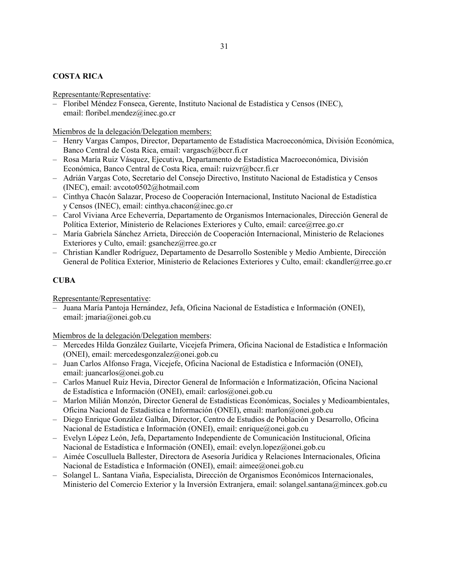# **COSTA RICA**

Representante/Representative:

– Floribel Méndez Fonseca, Gerente, Instituto Nacional de Estadística y Censos (INEC), email: floribel.mendez@inec.go.cr

Miembros de la delegación/Delegation members:

- Henry Vargas Campos, Director, Departamento de Estadística Macroeconómica, División Económica, Banco Central de Costa Rica, email: vargasch@bccr.fi.cr
- Rosa María Ruiz Vásquez, Ejecutiva, Departamento de Estadística Macroeconómica, División Económica, Banco Central de Costa Rica, email: ruizvr@bccr.fi.cr
- Adrián Vargas Coto, Secretario del Consejo Directivo, Instituto Nacional de Estadística y Censos (INEC), email: avcoto0502@hotmail.com
- Cinthya Chacón Salazar, Proceso de Cooperación Internacional, Instituto Nacional de Estadística y Censos (INEC), email: cinthya.chacon@inec.go.cr
- Carol Viviana Arce Echeverría, Departamento de Organismos Internacionales, Dirección General de Política Exterior, Ministerio de Relaciones Exteriores y Culto, email: carce@rree.go.cr
- María Gabriela Sánchez Arrieta, Dirección de Cooperación Internacional, Ministerio de Relaciones Exteriores y Culto, email: gsanchez@rree.go.cr
- Christian Kandler Rodríguez, Departamento de Desarrollo Sostenible y Medio Ambiente, Dirección General de Política Exterior, Ministerio de Relaciones Exteriores y Culto, email: ckandler@rree.go.cr

# **CUBA**

Representante/Representative:

– Juana María Pantoja Hernández, Jefa, Oficina Nacional de Estadística e Información (ONEI), email: jmaria@onei.gob.cu

Miembros de la delegación/Delegation members:

- Mercedes Hilda González Guilarte, Vicejefa Primera, Oficina Nacional de Estadística e Información (ONEI), email: mercedesgonzalez@onei.gob.cu
- Juan Carlos Alfonso Fraga, Vicejefe, Oficina Nacional de Estadística e Información (ONEI), email: juancarlos@onei.gob.cu
- Carlos Manuel Ruíz Hevia, Director General de Información e Informatización, Oficina Nacional de Estadística e Información (ONEI), email: carlos@onei.gob.cu
- Marlon Milián Monzón, Director General de Estadísticas Económicas, Sociales y Medioambientales, Oficina Nacional de Estadística e Información (ONEI), email: marlon@onei.gob.cu
- Diego Enrique González Galbán, Director, Centro de Estudios de Población y Desarrollo, Oficina Nacional de Estadística e Información (ONEI), email: enrique@onei.gob.cu
- Evelyn López León, Jefa, Departamento Independiente de Comunicación Institucional, Oficina Nacional de Estadística e Información (ONEI), email: evelyn.lopez@onei.gob.cu
- Aimée Cosculluela Ballester, Directora de Asesoría Jurídica y Relaciones Internacionales, Oficina Nacional de Estadística e Información (ONEI), email: aimee@onei.gob.cu
- Solangel L. Santana Viaña, Especialista, Dirección de Organismos Económicos Internacionales, Ministerio del Comercio Exterior y la Inversión Extranjera, email: solangel.santana@mincex.gob.cu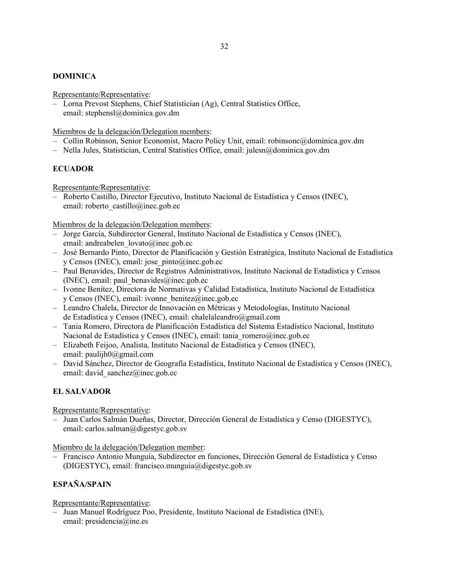## **DOMINICA**

Representante/Representative:

– Lorna Prevost Stephens, Chief Statistician (Ag), Central Statistics Office, email: stephensl@dominica.gov.dm

Miembros de la delegación/Delegation members:

- Collin Robinson, Senior Economist, Macro Policy Unit, email: robinsonc@dominica.gov.dm
- Nella Jules, Statistician, Central Statistics Office, email: julesn@dominica.gov.dm

# **ECUADOR**

Representante/Representative:

– Roberto Castillo, Director Ejecutivo, Instituto Nacional de Estadística y Censos (INEC), email: roberto\_castillo@inec.gob.ec

Miembros de la delegación/Delegation members:

- Jorge García, Subdirector General, Instituto Nacional de Estadística y Censos (INEC), email: andreabelen\_lovato@inec.gob.ec
- José Bernardo Pinto, Director de Planificación y Gestión Estratégica, Instituto Nacional de Estadística y Censos (INEC), email: jose\_pinto@inec.gob.ec
- Paul Benavides, Director de Registros Administrativos, Instituto Nacional de Estadística y Censos (INEC), email: paul\_benavides@inec.gob.ec
- Ivonne Benítez, Directora de Normativas y Calidad Estadística, Instituto Nacional de Estadística y Censos (INEC), email: ivonne\_benitez@inec.gob.ec
- Leandro Chalela, Director de Innovación en Métricas y Metodologías, Instituto Nacional de Estadística y Censos (INEC), email: chalelaleandro@gmail.com
- Tania Romero, Directora de Planificación Estadística del Sistema Estadístico Nacional, Instituto Nacional de Estadística y Censos (INEC), email: tania\_romero@inec.gob.ec
- Elizabeth Feijoo, Analista, Instituto Nacional de Estadística y Censos (INEC), email: paulijh0@gmail.com
- David Sánchez, Director de Geografía Estadística, Instituto Nacional de Estadística y Censos (INEC), email: david sanchez@inec.gob.ec

# **EL SALVADOR**

Representante/Representative:

– Juan Carlos Salmán Dueñas, Director, Dirección General de Estadística y Censo (DIGESTYC), email: carlos.salman@digestyc.gob.sv

Miembro de la delegación/Delegation member:

– Francisco Antonio Munguía, Subdirector en funciones, Dirección General de Estadística y Censo (DIGESTYC), email: francisco.munguia@digestyc.gob.sv

# **ESPAÑA/SPAIN**

## Representante/Representative:

– Juan Manuel Rodríguez Poo, Presidente, Instituto Nacional de Estadística (INE), email: presidencia@ine.es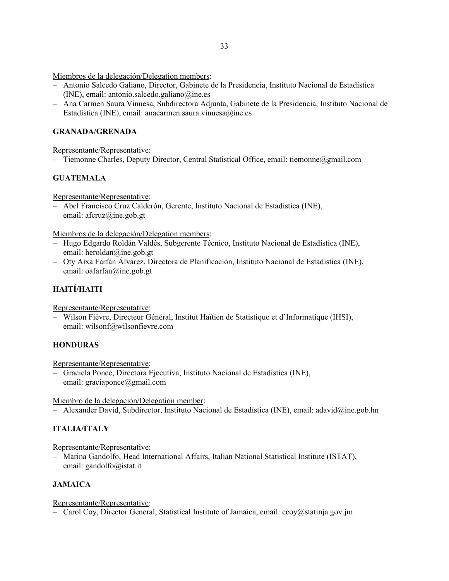- Antonio Salcedo Galiano, Director, Gabinete de la Presidencia, Instituto Nacional de Estadística (INE), email: antonio.salcedo.galiano@ine.es
- Ana Carmen Saura Vinuesa, Subdirectora Adjunta, Gabinete de la Presidencia, Instituto Nacional de Estadística (INE), email: anacarmen.saura.vinuesa@ine.es

## **GRANADA/GRENADA**

Representante/Representative:

– Tiemonne Charles, Deputy Director, Central Statistical Office, email: tiemonne@gmail.com

# **GUATEMALA**

Representante/Representative:

– Abel Francisco Cruz Calderón, Gerente, Instituto Nacional de Estadística (INE), email: afcruz@ine.gob.gt

Miembros de la delegación/Delegation members:

- Hugo Edgardo Roldán Valdés, Subgerente Técnico, Instituto Nacional de Estadística (INE), email: heroldan@ine.gob.gt
- Oty Aixa Farfán Álvarez, Directora de Planificación, Instituto Nacional de Estadística (INE), email: oafarfan@ine.gob.gt

# **HAITÍ/HAITI**

Representante/Representative:

– Wilson Fièvre, Directeur Général, Institut Haïtien de Statistique et d'Informatique (IHSI), email: wilsonf@wilsonfievre.com

# **HONDURAS**

### Representante/Representative:

– Graciela Ponce, Directora Ejecutiva, Instituto Nacional de Estadística (INE), email: graciaponce@gmail.com

Miembro de la delegación/Delegation member:

– Alexander David, Subdirector, Instituto Nacional de Estadística (INE), email: adavid@ine.gob.hn

# **ITALIA/ITALY**

Representante/Representative:

– Marina Gandolfo, Head International Affairs, Italian National Statistical Institute (ISTAT), email: gandolfo@istat.it

## **JAMAICA**

## Representante/Representative:

– Carol Coy, Director General, Statistical Institute of Jamaica, email: ccoy@statinja.gov.jm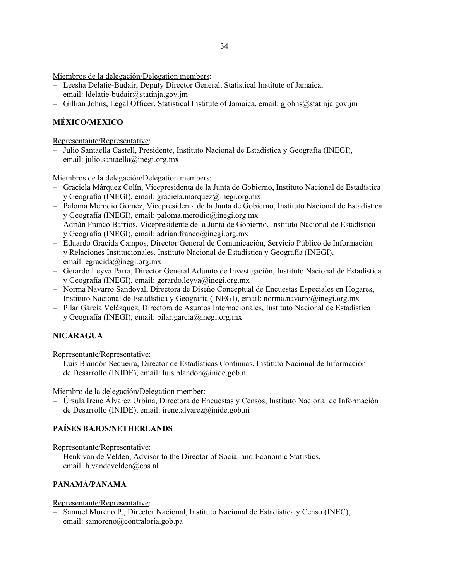- Leesha Delatie-Budair, Deputy Director General, Statistical Institute of Jamaica, email: ldelatie-budair@statinja.gov.jm
- Gillian Johns, Legal Officer, Statistical Institute of Jamaica, email: gjohns@statinja.gov.jm

# **MÉXICO/MEXICO**

Representante/Representative:

– Julio Santaella Castell, Presidente, Instituto Nacional de Estadística y Geografía (INEGI), email: julio.santaella@inegi.org.mx

Miembros de la delegación/Delegation members:

- Graciela Márquez Colín, Vicepresidenta de la Junta de Gobierno, Instituto Nacional de Estadística y Geografía (INEGI), email: graciela.marquez@inegi.org.mx
- Paloma Merodio Gómez, Vicepresidenta de la Junta de Gobierno, Instituto Nacional de Estadística y Geografía (INEGI), email: paloma.merodio@inegi.org.mx
- Adrián Franco Barrios, Vicepresidente de la Junta de Gobierno, Instituto Nacional de Estadística y Geografía (INEGI), email: adrian.franco@inegi.org.mx
- Eduardo Gracida Campos, Director General de Comunicación, Servicio Público de Información y Relaciones Institucionales, Instituto Nacional de Estadística y Geografía (INEGI), email: egracida@inegi.org.mx
- Gerardo Leyva Parra, Director General Adjunto de Investigación, Instituto Nacional de Estadística y Geografía (INEGI), email: gerardo.leyva@inegi.org.mx
- Norma Navarro Sandoval, Directora de Diseño Conceptual de Encuestas Especiales en Hogares, Instituto Nacional de Estadística y Geografía (INEGI), email: norma.navarro@inegi.org.mx
- Pilar García Velázquez, Directora de Asuntos Internacionales, Instituto Nacional de Estadística y Geografía (INEGI), email: pilar.garcia@inegi.org.mx

# **NICARAGUA**

Representante/Representative:

– Luis Blandón Sequeira, Director de Estadísticas Continuas, Instituto Nacional de Información de Desarrollo (INIDE), email: luis.blandon@inide.gob.ni

Miembro de la delegación/Delegation member:

– Úrsula Irene Álvarez Urbina, Directora de Encuestas y Censos, Instituto Nacional de Información de Desarrollo (INIDE), email: irene.alvarez@inide.gob.ni

## **PAÍSES BAJOS/NETHERLANDS**

Representante/Representative:

– Henk van de Velden, Advisor to the Director of Social and Economic Statistics, email: h.vandevelden@cbs.nl

# **PANAMÁ/PANAMA**

## Representante/Representative:

– Samuel Moreno P., Director Nacional, Instituto Nacional de Estadística y Censo (INEC), email: samoreno@contraloria.gob.pa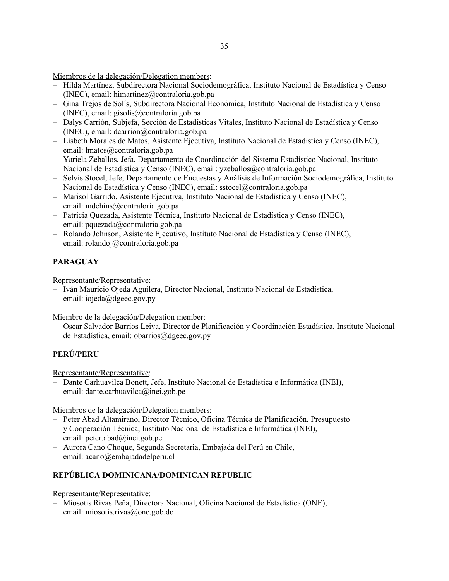- Hilda Martínez, Subdirectora Nacional Sociodemográfica, Instituto Nacional de Estadística y Censo (INEC), email: himartinez@contraloria.gob.pa
- Gina Trejos de Solís, Subdirectora Nacional Económica, Instituto Nacional de Estadística y Censo (INEC), email: gisolis@contraloria.gob.pa
- Dalys Carrión, Subjefa, Sección de Estadísticas Vitales, Instituto Nacional de Estadística y Censo (INEC), email: dcarrion@contraloria.gob.pa
- Lisbeth Morales de Matos, Asistente Ejecutiva, Instituto Nacional de Estadística y Censo (INEC), email: lmatos@contraloria.gob.pa
- Yariela Zeballos, Jefa, Departamento de Coordinación del Sistema Estadístico Nacional, Instituto Nacional de Estadística y Censo (INEC), email: yzeballos@contraloria.gob.pa
- Selvis Stocel, Jefe, Departamento de Encuestas y Análisis de Información Sociodemográfica, Instituto Nacional de Estadística y Censo (INEC), email: sstocel@contraloria.gob.pa
- Marisol Garrido, Asistente Ejecutiva, Instituto Nacional de Estadística y Censo (INEC), email: mdehins@contraloria.gob.pa
- Patricia Quezada, Asistente Técnica, Instituto Nacional de Estadística y Censo (INEC), email: pquezada@contraloria.gob.pa
- Rolando Johnson, Asistente Ejecutivo, Instituto Nacional de Estadística y Censo (INEC), email: rolandoj@contraloria.gob.pa

# **PARAGUAY**

Representante/Representative:

– Iván Mauricio Ojeda Aguilera, Director Nacional, Instituto Nacional de Estadística, email: iojeda@dgeec.gov.py

Miembro de la delegación/Delegation member:

– Oscar Salvador Barrios Leiva, Director de Planificación y Coordinación Estadística, Instituto Nacional de Estadística, email: obarrios@dgeec.gov.py

# **PERÚ/PERU**

Representante/Representative:

– Dante Carhuavilca Bonett, Jefe, Instituto Nacional de Estadística e Informática (INEI), email: dante.carhuavilca@inei.gob.pe

Miembros de la delegación/Delegation members:

- Peter Abad Altamirano, Director Técnico, Oficina Técnica de Planificación, Presupuesto y Cooperación Técnica, Instituto Nacional de Estadística e Informática (INEI), email: peter.abad@inei.gob.pe
- Aurora Cano Choque, Segunda Secretaria, Embajada del Perú en Chile, email: acano@embajadadelperu.cl

# **REPÚBLICA DOMINICANA/DOMINICAN REPUBLIC**

Representante/Representative:

– Miosotis Rivas Peña, Directora Nacional, Oficina Nacional de Estadística (ONE), email: miosotis.rivas@one.gob.do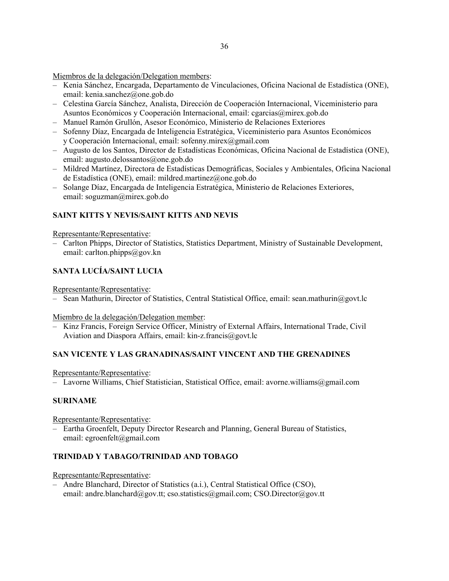- Kenia Sánchez, Encargada, Departamento de Vinculaciones, Oficina Nacional de Estadística (ONE), email: kenia.sanchez@one.gob.do
- Celestina García Sánchez, Analista, Dirección de Cooperación Internacional, Viceministerio para Asuntos Económicos y Cooperación Internacional, email: cgarcias@mirex.gob.do
- Manuel Ramón Grullón, Asesor Económico, Ministerio de Relaciones Exteriores
- Sofenny Díaz, Encargada de Inteligencia Estratégica, Viceministerio para Asuntos Económicos y Cooperación Internacional, email: sofenny.mirex@gmail.com
- Augusto de los Santos, Director de Estadísticas Económicas, Oficina Nacional de Estadística (ONE), email: augusto.delossantos@one.gob.do
- Mildred Martínez, Directora de Estadísticas Demográficas, Sociales y Ambientales, Oficina Nacional de Estadística (ONE), email: mildred.martinez@one.gob.do
- Solange Díaz, Encargada de Inteligencia Estratégica, Ministerio de Relaciones Exteriores, email: soguzman@mirex.gob.do

# **SAINT KITTS Y NEVIS/SAINT KITTS AND NEVIS**

### Representante/Representative:

– Carlton Phipps, Director of Statistics, Statistics Department, Ministry of Sustainable Development, email: carlton.phipps@gov.kn

# **SANTA LUCÍA/SAINT LUCIA**

Representante/Representative:

– Sean Mathurin, Director of Statistics, Central Statistical Office, email: sean.mathurin@govt.lc

### Miembro de la delegación/Delegation member:

– Kinz Francis, Foreign Service Officer, Ministry of External Affairs, International Trade, Civil Aviation and Diaspora Affairs, email: kin-z.francis@govt.lc

## **SAN VICENTE Y LAS GRANADINAS/SAINT VINCENT AND THE GRENADINES**

Representante/Representative:

– Lavorne Williams, Chief Statistician, Statistical Office, email: avorne.williams@gmail.com

## **SURINAME**

Representante/Representative:

– Eartha Groenfelt, Deputy Director Research and Planning, General Bureau of Statistics, email: egroenfelt@gmail.com

# **TRINIDAD Y TABAGO/TRINIDAD AND TOBAGO**

Representante/Representative:

– Andre Blanchard, Director of Statistics (a.i.), Central Statistical Office (CSO), email: andre.blanchard@gov.tt; cso.statistics@gmail.com; CSO.Director@gov.tt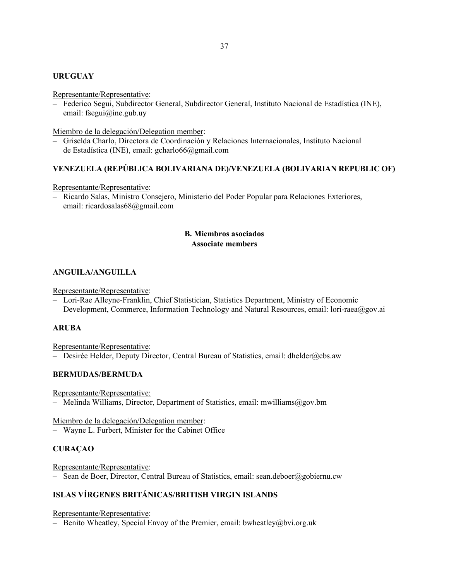### **URUGUAY**

#### Representante/Representative:

– Federico Segui, Subdirector General, Subdirector General, Instituto Nacional de Estadística (INE), email: fsegui@ine.gub.uy

Miembro de la delegación/Delegation member:

– Griselda Charlo, Directora de Coordinación y Relaciones Internacionales, Instituto Nacional de Estadística (INE), email: gcharlo66@gmail.com

### **VENEZUELA (REPÚBLICA BOLIVARIANA DE)/VENEZUELA (BOLIVARIAN REPUBLIC OF)**

### Representante/Representative:

– Ricardo Salas, Ministro Consejero, Ministerio del Poder Popular para Relaciones Exteriores, email: ricardosalas68@gmail.com

## **B. Miembros asociados Associate members**

## **ANGUILA/ANGUILLA**

Representante/Representative:

– Lori-Rae Alleyne-Franklin, Chief Statistician, Statistics Department, Ministry of Economic Development, Commerce, Information Technology and Natural Resources, email: lori-raea@gov.ai

## **ARUBA**

Representante/Representative:

– Desirée Helder, Deputy Director, Central Bureau of Statistics, email: dhelder@cbs.aw

### **BERMUDAS/BERMUDA**

Representante/Representative:

– Melinda Williams, Director, Department of Statistics, email: mwilliams@gov.bm

Miembro de la delegación/Delegation member:

– Wayne L. Furbert, Minister for the Cabinet Office

## **CURAÇAO**

Representante/Representative:

– Sean de Boer, Director, Central Bureau of Statistics, email: sean.deboer@gobiernu.cw

## **ISLAS VÍRGENES BRITÁNICAS/BRITISH VIRGIN ISLANDS**

Representante/Representative:

– Benito Wheatley, Special Envoy of the Premier, email: bwheatley@bvi.org.uk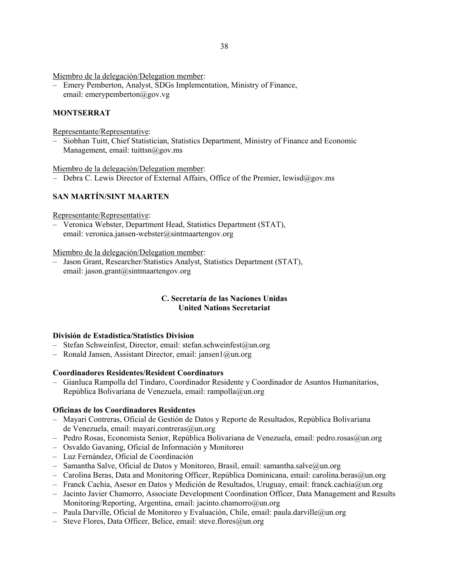– Emery Pemberton, Analyst, SDGs Implementation, Ministry of Finance, email: emerypemberton@gov.vg

## **MONTSERRAT**

Representante/Representative:

– Siobhan Tuitt, Chief Statistician, Statistics Department, Ministry of Finance and Economic Management, email: tuittsn $@g$ ov.ms

Miembro de la delegación/Delegation member:

– Debra C. Lewis Director of External Affairs, Office of the Premier, lewisd@gov.ms

# **SAN MARTÍN/SINT MAARTEN**

Representante/Representative:

– Veronica Webster, Department Head, Statistics Department (STAT), email: veronica.jansen-webster@sintmaartengov.org

Miembro de la delegación/Delegation member:

– Jason Grant, Researcher/Statistics Analyst, Statistics Department (STAT), email: jason.grant@sintmaartengov.org

## **C. Secretaría de las Naciones Unidas United Nations Secretariat**

### **División de Estadística/Statistics Division**

- Stefan Schweinfest, Director, email: stefan.schweinfest@un.org
- Ronald Jansen, Assistant Director, email: jansen1@un.org

### **Coordinadores Residentes/Resident Coordinators**

– Gianluca Rampolla del Tindaro, Coordinador Residente y Coordinador de Asuntos Humanitarios, República Bolivariana de Venezuela, email: rampolla@un.org

## **Oficinas de los Coordinadores Residentes**

- Mayari Contreras, Oficial de Gestión de Datos y Reporte de Resultados, República Bolivariana de Venezuela, email: mayari.contreras@un.org
- Pedro Rosas, Economista Senior, República Bolivariana de Venezuela, email: pedro.rosas@un.org
- Osvaldo Gavaning, Oficial de Información y Monitoreo
- Luz Fernández, Oficial de Coordinación
- Samantha Salve, Oficial de Datos y Monitoreo, Brasil, email: samantha.salve@un.org
- Carolina Beras, Data and Monitoring Officer, República Dominicana, email: carolina.beras@un.org
- Franck Cachia, Asesor en Datos y Medición de Resultados, Uruguay, email: franck.cachia@un.org
- Jacinto Javier Chamorro, Associate Development Coordination Officer, Data Management and Results Monitoring/Reporting, Argentina, email: jacinto.chamorro@un.org
- Paula Darville, Oficial de Monitoreo y Evaluación, Chile, email: paula.darville@un.org
- Steve Flores, Data Officer, Belice, email: steve.flores@un.org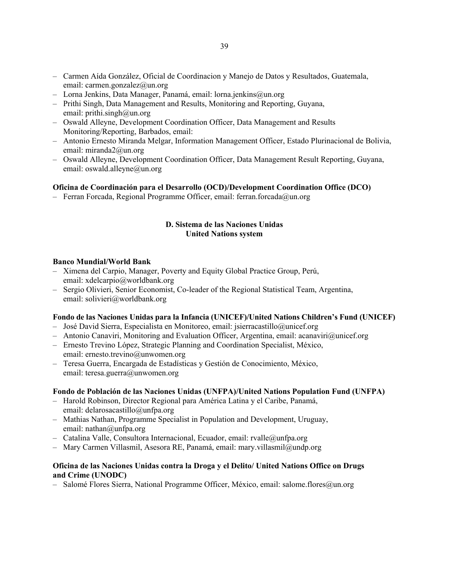- Carmen Aída González, Oficial de Coordinacion y Manejo de Datos y Resultados, Guatemala, email: carmen.gonzalez@un.org
- Lorna Jenkins, Data Manager, Panamá, email: lorna.jenkins@un.org
- Prithi Singh, Data Management and Results, Monitoring and Reporting, Guyana, email: prithi.singh@un.org
- Oswald Alleyne, Development Coordination Officer, Data Management and Results Monitoring/Reporting, Barbados, email:
- Antonio Ernesto Miranda Melgar, Information Management Officer, Estado Plurinacional de Bolivia, email: miranda2@un.org
- Oswald Alleyne, Development Coordination Officer, Data Management Result Reporting, Guyana, email: oswald.alleyne@un.org

### **Oficina de Coordinación para el Desarrollo (OCD)/Development Coordination Office (DCO)**

– Ferran Forcada, Regional Programme Officer, email: ferran.forcada@un.org

## **D. Sistema de las Naciones Unidas United Nations system**

### **Banco Mundial/World Bank**

- Ximena del Carpio, Manager, Poverty and Equity Global Practice Group, Perú, email: xdelcarpio@worldbank.org
- Sergio Olivieri, Senior Economist, Co-leader of the Regional Statistical Team, Argentina, email: solivieri@worldbank.org

### **Fondo de las Naciones Unidas para la Infancia (UNICEF)/United Nations Children's Fund (UNICEF)**

- José David Sierra, Especialista en Monitoreo, email: jsierracastillo@unicef.org
- Antonio Canaviri, Monitoring and Evaluation Officer, Argentina, email: acanaviri@unicef.org
- Ernesto Trevino López, Strategic Planning and Coordination Specialist, México, email: ernesto.trevino@unwomen.org
- Teresa Guerra, Encargada de Estadísticas y Gestión de Conocimiento, México, email: teresa.guerra@unwomen.org

## **Fondo de Población de las Naciones Unidas (UNFPA)/United Nations Population Fund (UNFPA)**

- Harold Robinson, Director Regional para América Latina y el Caribe, Panamá, email: delarosacastillo@unfpa.org
- Mathias Nathan, Programme Specialist in Population and Development, Uruguay, email: nathan@unfpa.org
- Catalina Valle, Consultora Internacional, Ecuador, email: rvalle@unfpa.org
- Mary Carmen Villasmil, Asesora RE, Panamá, email: mary.villasmil@undp.org

## **Oficina de las Naciones Unidas contra la Droga y el Delito/ United Nations Office on Drugs and Crime (UNODC)**

– Salomé Flores Sierra, National Programme Officer, México, email: salome.flores@un.org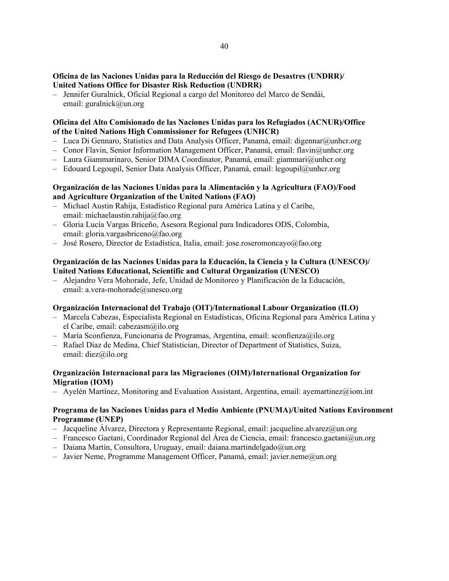## **Oficina de las Naciones Unidas para la Reducción del Riesgo de Desastres (UNDRR)/ United Nations Office for Disaster Risk Reduction (UNDRR)**

– Jennifer Guralnick, Oficial Regional a cargo del Monitoreo del Marco de Sendái, email: guralnick@un.org

## **Oficina del Alto Comisionado de las Naciones Unidas para los Refugiados (ACNUR)/Office of the United Nations High Commissioner for Refugees (UNHCR)**

- $-$  Luca Di Gennaro, Statistics and Data Analysis Officer, Panamá, email: digennar@unhcr.org
- Conor Flavin, Senior Information Management Officer, Panamá, email: flavin@unhcr.org
- Laura Giammarinaro, Senior DIMA Coordinator, Panamá, email: giammari@unhcr.org
- Edouard Legoupil, Senior Data Analysis Officer, Panamá, email: legoupil@unhcr.org

## **Organización de las Naciones Unidas para la Alimentación y la Agricultura (FAO)/Food and Agriculture Organization of the United Nations (FAO)**

- Michael Austin Rahija, Estadístico Regional para América Latina y el Caribe, email: michaelaustin.rahija@fao.org
- Gloria Lucía Vargas Briceño, Asesora Regional para Indicadores ODS, Colombia, email: gloria.vargasbriceno@fao.org
- José Rosero, Director de Estadística, Italia, email: jose.roseromoncayo@fao.org

## **Organización de las Naciones Unidas para la Educación, la Ciencia y la Cultura (UNESCO)/ United Nations Educational, Scientific and Cultural Organization (UNESCO)**

– Alejandro Vera Mohorade, Jefe, Unidad de Monitoreo y Planificación de la Educación, email: a.vera-mohorade@unesco.org

## **Organización Internacional del Trabajo (OIT)/International Labour Organization (ILO)**

- Marcela Cabezas, Especialista Regional en Estadísticas, Oficina Regional para América Latina y el Caribe, email: cabezasm@ilo.org
- María Sconfienza, Funcionaria de Programas, Argentina, email: sconfienza@ilo.org
- Rafael Díaz de Medina, Chief Statistician, Director of Department of Statistics, Suiza, email: diez@ilo.org

## **Organización Internacional para las Migraciones (OIM)/International Organization for Migration (IOM)**

 $-$  Ayelén Martínez, Monitoring and Evaluation Assistant, Argentina, email: ayemartinez@iom.int

### **Programa de las Naciones Unidas para el Medio Ambiente (PNUMA)/United Nations Environment Programme (UNEP)**

- $-$  Jacqueline Álvarez, Directora y Representante Regional, email: jacqueline.alvarez@un.org
- Francesco Gaetani, Coordinador Regional del Área de Ciencia, email: francesco.gaetani@un.org
- $-$  Daiana Martín, Consultora, Uruguay, email: daiana.martindelgado@un.org
- Javier Neme, Programme Management Officer, Panamá, email: javier.neme@un.org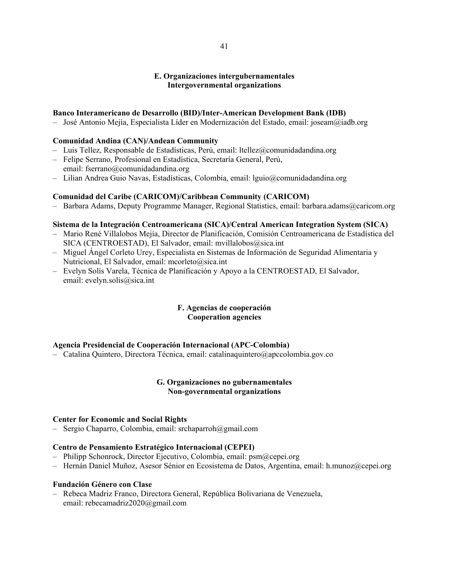## **E. Organizaciones intergubernamentales Intergovernmental organizations**

### **Banco Interamericano de Desarrollo (BID)/Inter-American Development Bank (IDB)**

– José Antonio Mejía, Especialista Líder en Modernización del Estado, email: joseam@iadb.org

## **Comunidad Andina (CAN)/Andean Community**

- Luis Tellez, Responsable de Estadísticas, Perú, email: ltellez@comunidadandina.org
- Felipe Serrano, Profesional en Estadística, Secretaría General, Perú, email: fserrano@comunidadandina.org
- Lilian Andrea Guio Navas, Estadísticas, Colombia, email: lguio@comunidadandina.org

### **Comunidad del Caribe (CARICOM)/Caribbean Community (CARICOM)**

– Barbara Adams, Deputy Programme Manager, Regional Statistics, email: barbara.adams@caricom.org

### **Sistema de la Integración Centroamericana (SICA)/Central American Integration System (SICA)**

- Mario René Villalobos Mejía, Director de Planificación, Comisión Centroamericana de Estadística del SICA (CENTROESTAD), El Salvador, email: mvillalobos@sica.int
- Miguel Ángel Corleto Urey, Especialista en Sistemas de Información de Seguridad Alimentaria y Nutricional, El Salvador, email: mcorleto@sica.int
- Evelyn Solís Varela, Técnica de Planificación y Apoyo a la CENTROESTAD, El Salvador, email: evelyn.solis@sica.int

### **F. Agencias de cooperación Cooperation agencies**

## **Agencia Presidencial de Cooperación Internacional (APC-Colombia)**

– Catalina Quintero, Directora Técnica, email: catalinaquintero@apccolombia.gov.co

### **G. Organizaciones no gubernamentales Non-governmental organizations**

### **Center for Economic and Social Rights**

– Sergio Chaparro, Colombia, email: srchaparroh@gmail.com

### **Centro de Pensamiento Estratégico Internacional (CEPEI)**

- Philipp Schonrock, Director Ejecutivo, Colombia, email: psm@cepei.org
- Hernán Daniel Muñoz, Asesor Sénior en Ecosistema de Datos, Argentina, email: h.munoz@cepei.org

### **Fundación Género con Clase**

– Rebeca Madriz Franco, Directora General, República Bolivariana de Venezuela, email: rebecamadriz2020@gmail.com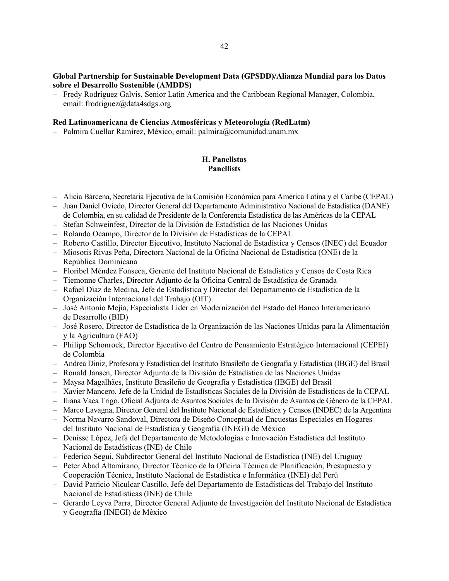### **Global Partnership for Sustainable Development Data (GPSDD)/Alianza Mundial para los Datos sobre el Desarrollo Sostenible (AMDDS)**

– Fredy Rodríguez Galvis, Senior Latin America and the Caribbean Regional Manager, Colombia, email: frodriguez@data4sdgs.org

## **Red Latinoamericana de Ciencias Atmosféricas y Meteorología (RedLatm)**

– Palmira Cuellar Ramírez, México, email: palmira@comunidad.unam.mx

# **H. Panelistas Panellists**

- Alicia Bárcena, Secretaria Ejecutiva de la Comisión Económica para América Latina y el Caribe (CEPAL)
- Juan Daniel Oviedo, Director General del Departamento Administrativo Nacional de Estadística (DANE) de Colombia, en su calidad de Presidente de la Conferencia Estadística de las Américas de la CEPAL
- Stefan Schweinfest, Director de la División de Estadística de las Naciones Unidas
- Rolando Ocampo, Director de la División de Estadísticas de la CEPAL
- Roberto Castillo, Director Ejecutivo, Instituto Nacional de Estadística y Censos (INEC) del Ecuador
- Miosotis Rivas Peña, Directora Nacional de la Oficina Nacional de Estadística (ONE) de la República Dominicana
- Floribel Méndez Fonseca, Gerente del Instituto Nacional de Estadística y Censos de Costa Rica
- Tiemonne Charles, Director Adjunto de la Oficina Central de Estadística de Granada
- Rafael Díaz de Medina, Jefe de Estadística y Director del Departamento de Estadística de la Organización Internacional del Trabajo (OIT)
- José Antonio Mejía, Especialista Líder en Modernización del Estado del Banco Interamericano de Desarrollo (BID)
- José Rosero, Director de Estadística de la Organización de las Naciones Unidas para la Alimentación y la Agricultura (FAO)
- Philipp Schonrock, Director Ejecutivo del Centro de Pensamiento Estratégico Internacional (CEPEI) de Colombia
- Andrea Diniz, Profesora y Estadística del Instituto Brasileño de Geografía y Estadística (IBGE) del Brasil
- Ronald Jansen, Director Adjunto de la División de Estadística de las Naciones Unidas
- Maysa Magalhães, Instituto Brasileño de Geografía y Estadística (IBGE) del Brasil
- Xavier Mancero, Jefe de la Unidad de Estadísticas Sociales de la División de Estadísticas de la CEPAL
- Iliana Vaca Trigo, Oficial Adjunta de Asuntos Sociales de la División de Asuntos de Género de la CEPAL
- Marco Lavagna, Director General del Instituto Nacional de Estadística y Censos (INDEC) de la Argentina
- Norma Navarro Sandoval, Directora de Diseño Conceptual de Encuestas Especiales en Hogares del Instituto Nacional de Estadística y Geografía (INEGI) de México
- Denisse López, Jefa del Departamento de Metodologías e Innovación Estadística del Instituto Nacional de Estadísticas (INE) de Chile
- Federico Segui, Subdirector General del Instituto Nacional de Estadística (INE) del Uruguay
- Peter Abad Altamirano, Director Técnico de la Oficina Técnica de Planificación, Presupuesto y Cooperación Técnica, Instituto Nacional de Estadística e Informática (INEI) del Perú
- David Patricio Niculcar Castillo, Jefe del Departamento de Estadísticas del Trabajo del Instituto Nacional de Estadísticas (INE) de Chile
- Gerardo Leyva Parra, Director General Adjunto de Investigación del Instituto Nacional de Estadística y Geografía (INEGI) de México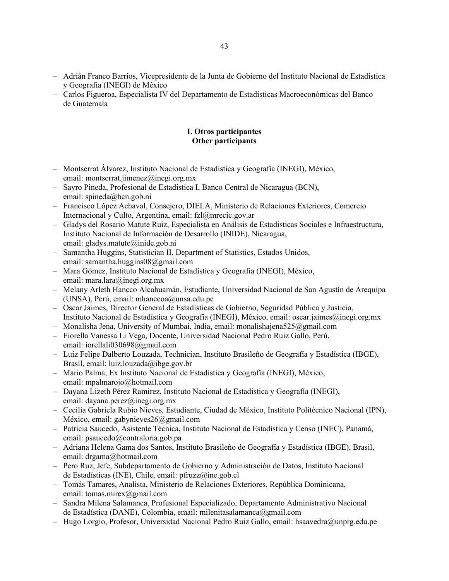- Adrián Franco Barrios, Vicepresidente de la Junta de Gobierno del Instituto Nacional de Estadística y Geografía (INEGI) de México
- Carlos Figueroa, Especialista IV del Departamento de Estadísticas Macroeconómicas del Banco de Guatemala

## **I. Otros participantes Other participants**

- Montserrat Álvarez, Instituto Nacional de Estadística y Geografía (INEGI), México, email: montserrat.jimenez@inegi.org.mx
- Sayro Pineda, Profesional de Estadística I, Banco Central de Nicaragua (BCN), email: spineda@bcn.gob.ni
- Francisco López Achaval, Consejero, DIELA, Ministerio de Relaciones Exteriores, Comercio Internacional y Culto, Argentina, email: fzl@mrecic.gov.ar
- Gladys del Rosario Matute Ruiz, Especialista en Análisis de Estadísticas Sociales e Infraestructura, Instituto Nacional de Información de Desarrollo (INIDE), Nicaragua, email: gladys.matute@inide.gob.ni
- Samantha Huggins, Statistician II, Department of Statistics, Estados Unidos, email: samantha.huggins08@gmail.com
- Mara Gómez, Instituto Nacional de Estadística y Geografía (INEGI), México, email: mara.lara@inegi.org.mx
- Melany Arleth Hancco Alcahuamán, Estudiante, Universidad Nacional de San Agustín de Arequipa (UNSA), Perú, email: mhanccoa@unsa.edu.pe
- Oscar Jaimes, Director General de Estadísticas de Gobierno, Seguridad Pública y Justicia, Instituto Nacional de Estadística y Geografía (INEGI), México, email: oscar.jaimes@inegi.org.mx
- Monalisha Jena, University of Mumbai, India, email: monalishajena525@gmail.com
- Fiorella Vanessa Li Vega, Docente, Universidad Nacional Pedro Ruiz Gallo, Perú, email: iorellali030698@gmail.com
- Luiz Felipe Dalberto Louzada, Technician, Instituto Brasileño de Geografía y Estadística (IBGE), Brasil, email: luiz.louzada@ibge.gov.br
- Mario Palma, Ex Instituto Nacional de Estadística y Geografía (INEGI), México, email: mpalmarojo@hotmail.com
- Dayana Lizeth Pérez Ramirez, Instituto Nacional de Estadística y Geografía (INEGI), email: dayana.perez@inegi.org.mx
- Cecilia Gabriela Rubio Nieves, Estudiante, Ciudad de México, Instituto Politécnico Nacional (IPN), México, email: gabynieves26@gmail.com
- Patricia Saucedo, Asistente Técnica, Instituto Nacional de Estadística y Censo (INEC), Panamá, email: psaucedo@contraloria.gob.pa
- Adriana Helena Gama dos Santos, Instituto Brasileño de Geografía y Estadística (IBGE), Brasil, email: drgama@hotmail.com
- Pero Ruz, Jefe, Subdepartamento de Gobierno y Administración de Datos, Instituto Nacional de Estadísticas (INE), Chile, email: pfruzz@ine.gob.cl
- Tomás Tamares, Analista, Ministerio de Relaciones Exteriores, República Dominicana, email: tomas.mirex@gmail.com
- Sandra Milena Salamanca, Profesional Especializado, Departamento Administrativo Nacional de Estadística (DANE), Colombia, email: milenitasalamanca@gmail.com
- Hugo Lorgio, Profesor, Universidad Nacional Pedro Ruiz Gallo, email: hsaavedra@unprg.edu.pe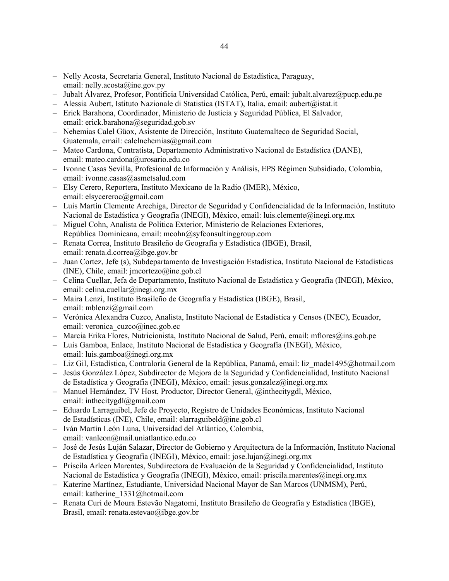- Nelly Acosta, Secretaria General, Instituto Nacional de Estadística, Paraguay, email: nelly.acosta@ine.gov.py
- Jubalt Álvarez, Profesor, Pontificia Universidad Católica, Perú, email: jubalt.alvarez@pucp.edu.pe
- Alessia Aubert, Istituto Nazionale di Statistica (ISTAT), Italia, email: aubert@istat.it
- Erick Barahona, Coordinador, Ministerio de Justicia y Seguridad Pública, El Salvador, email: erick.barahona@seguridad.gob.sv
- Nehemias Calel Güox, Asistente de Dirección, Instituto Guatemalteco de Seguridad Social, Guatemala, email: calelnehemias@gmail.com
- Mateo Cardona, Contratista, Departamento Administrativo Nacional de Estadística (DANE), email: mateo.cardona@urosario.edu.co
- Ivonne Casas Sevilla, Profesional de Información y Análisis, EPS Régimen Subsidiado, Colombia, email: ivonne.casas@asmetsalud.com
- Elsy Cerero, Reportera, Instituto Mexicano de la Radio (IMER), México, email: elsycereroc@gmail.com
- Luis Martín Clemente Arechiga, Director de Seguridad y Confidencialidad de la Información, Instituto Nacional de Estadística y Geografía (INEGI), México, email: luis.clemente@inegi.org.mx
- Miguel Cohn, Analista de Política Exterior, Ministerio de Relaciones Exteriores, República Dominicana, email: mcohn@syfconsultinggroup.com
- Renata Correa, Instituto Brasileño de Geografía y Estadística (IBGE), Brasil, email: renata.d.correa@ibge.gov.br
- Juan Cortez, Jefe (s), Subdepartamento de Investigación Estadística, Instituto Nacional de Estadísticas (INE), Chile, email:  $\text{imcortex}(\widehat{a})$  ine.gob.cl
- Celina Cuellar, Jefa de Departamento, Instituto Nacional de Estadística y Geografía (INEGI), México, email: celina.cuellar@inegi.org.mx
- Maira Lenzi, Instituto Brasileño de Geografía y Estadística (IBGE), Brasil, email: mblenzi@gmail.com
- Verónica Alexandra Cuzco, Analista, Instituto Nacional de Estadística y Censos (INEC), Ecuador, email: veronica\_cuzco@inec.gob.ec
- Marcia Erika Flores, Nutricionista, Instituto Nacional de Salud, Perú, email: mflores@ins.gob.pe
- Luis Gamboa, Enlace, Instituto Nacional de Estadística y Geografía (INEGI), México, email: luis.gamboa@inegi.org.mx
- Liz Gil, Estadística, Contraloría General de la República, Panamá, email: liz\_made1495@hotmail.com
- Jesús González López, Subdirector de Mejora de la Seguridad y Confidencialidad, Instituto Nacional de Estadística y Geografía (INEGI), México, email: jesus.gonzalez@inegi.org.mx
- Manuel Hernández, TV Host, Productor, Director General, @inthecitygdl, México, email: inthecitygdl@gmail.com
- Eduardo Larraguibel, Jefe de Proyecto, Registro de Unidades Económicas, Instituto Nacional de Estadísticas (INE), Chile, email: elarraguibeld@ine.gob.cl
- Iván Martín León Luna, Universidad del Atlántico, Colombia, email: vanleon@mail.uniatlantico.edu.co
- José de Jesús Luján Salazar, Director de Gobierno y Arquitectura de la Información, Instituto Nacional de Estadística y Geografía (INEGI), México, email: jose.lujan@inegi.org.mx
- Priscila Arleen Marentes, Subdirectora de Evaluación de la Seguridad y Confidencialidad, Instituto Nacional de Estadística y Geografía (INEGI), México, email: priscila.marentes@inegi.org.mx
- Katerine Martínez, Estudiante, Universidad Nacional Mayor de San Marcos (UNMSM), Perú, email: katherine\_1331@hotmail.com
- Renata Curi de Moura Estevão Nagatomi, Instituto Brasileño de Geografía y Estadística (IBGE), Brasil, email: renata.estevao@ibge.gov.br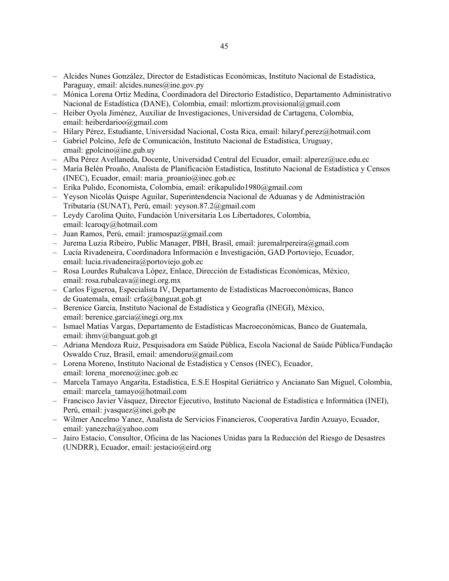- Alcides Nunes González, Director de Estadísticas Económicas, Instituto Nacional de Estadística, Paraguay, email: alcides.nunes@ine.gov.py
- Mónica Lorena Ortiz Medina, Coordinadora del Directorio Estadístico, Departamento Administrativo Nacional de Estadística (DANE), Colombia, email: mlortizm.provisional@gmail.com
- Heiber Oyola Jiménez, Auxiliar de Investigaciones, Universidad de Cartagena, Colombia, email: heiberdarioo@gmail.com
- Hilary Pérez, Estudiante, Universidad Nacional, Costa Rica, email: hilaryf.perez@hotmail.com
- Gabriel Polcino, Jefe de Comunicación, Instituto Nacional de Estadística, Uruguay, email: gpolcino@ine.gub.uv
- Alba Pérez Avellaneda, Docente, Universidad Central del Ecuador, email: alperez@uce.edu.ec
- María Belén Proaño, Analista de Planificación Estadística, Instituto Nacional de Estadística y Censos (INEC), Ecuador, email: maria\_proanio@inec.gob.ec
- Erika Pulido, Economista, Colombia, email: erikapulido1980@gmail.com
- Yeyson Nicolás Quispe Aguilar, Superintendencia Nacional de Aduanas y de Administración Tributaria (SUNAT), Perú, email: yeyson.87.2@gmail.com
- Leydy Carolina Quito, Fundación Universitaria Los Libertadores, Colombia, email: lcaroqy@hotmail.com
- Juan Ramos, Perú, email: jramospaz@gmail.com
- Jurema Luzia Ribeiro, Public Manager, PBH, Brasil, email: juremalrpereira@gmail.com
- Lucía Rivadeneira, Coordinadora Información e Investigación, GAD Portoviejo, Ecuador, email: lucia.rivadeneira@portoviejo.gob.ec
- Rosa Lourdes Rubalcava López, Enlace, Dirección de Estadísticas Económicas, México, email: rosa.rubalcava@inegi.org.mx
- Carlos Figueroa, Especialista IV, Departamento de Estadísticas Macroeconómicas, Banco de Guatemala, email: crfa@banguat.gob.gt
- Berenice García, Instituto Nacional de Estadística y Geografía (INEGI), México, email: berenice.garcia@inegi.org.mx
- Ismael Matías Vargas, Departamento de Estadísticas Macroeconómicas, Banco de Guatemala, email: ihmv@banguat.gob.gt
- Adriana Mendoza Ruiz, Pesquisadora em Saúde Pública, Escola Nacional de Saúde Pública/Fundação Oswaldo Cruz, Brasil, email: amendoru@gmail.com
- Lorena Moreno, Instituto Nacional de Estadística y Censos (INEC), Ecuador, email: lorena\_moreno@inec.gob.ec
- Marcela Tamayo Angarita, Estadística, E.S.E Hospital Geriátrico y Ancianato San Miguel, Colombia, email: marcela\_tamayo@hotmail.com
- Francisco Javier Vásquez, Director Ejecutivo, Instituto Nacional de Estadística e Informática (INEI), Perú, email: jvasquez@inei.gob.pe
- Wilmer Ancelmo Yanez, Analista de Servicios Financieros, Cooperativa Jardín Azuayo, Ecuador, email: yanezcha@yahoo.com
- Jairo Estacio, Consultor, Oficina de las Naciones Unidas para la Reducción del Riesgo de Desastres (UNDRR), Ecuador, email: jestacio@eird.org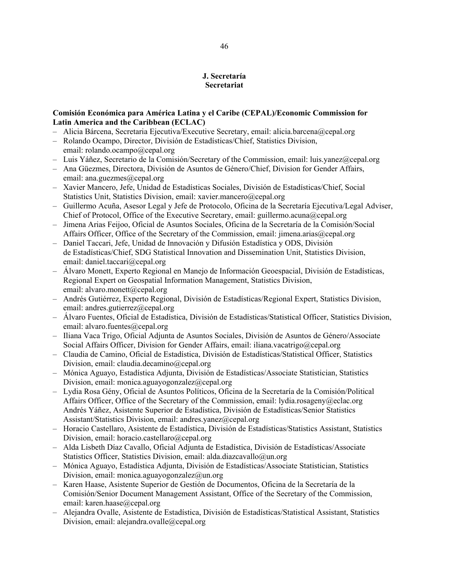# **J. Secretaría Secretariat**

## **Comisión Económica para América Latina y el Caribe (CEPAL)/Economic Commission for Latin America and the Caribbean (ECLAC)**

- Alicia Bárcena, Secretaria Ejecutiva/Executive Secretary, email: alicia.barcena@cepal.org
- Rolando Ocampo, Director, División de Estadísticas/Chief, Statistics Division, email: rolando.ocampo@cepal.org
- $-$  Luis Yáñez, Secretario de la Comisión/Secretary of the Commission, email: luis.yanez@cepal.org
- Ana Güezmes, Directora, División de Asuntos de Género/Chief, Division for Gender Affairs, email: ana.guezmes@cepal.org
- Xavier Mancero, Jefe, Unidad de Estadísticas Sociales, División de Estadísticas/Chief, Social Statistics Unit, Statistics Division, email: xavier.mancero@cepal.org
- Guillermo Acuña, Asesor Legal y Jefe de Protocolo, Oficina de la Secretaría Ejecutiva/Legal Adviser, Chief of Protocol, Office of the Executive Secretary, email: guillermo.acuna@cepal.org
- Jimena Arias Feijoo, Oficial de Asuntos Sociales, Oficina de la Secretaría de la Comisión/Social Affairs Officer, Office of the Secretary of the Commission, email: jimena.arias@cepal.org
- Daniel Taccari, Jefe, Unidad de Innovación y Difusión Estadística y ODS, División de Estadísticas/Chief, SDG Statistical Innovation and Dissemination Unit, Statistics Division, email: daniel.taccari@cepal.org
- Álvaro Monett, Experto Regional en Manejo de Información Geoespacial, División de Estadísticas, Regional Expert on Geospatial Information Management, Statistics Division, email: alvaro.monett@cepal.org
- Andrés Gutiérrez, Experto Regional, División de Estadísticas/Regional Expert, Statistics Division, email: andres.gutierrez@cepal.org
- Álvaro Fuentes, Oficial de Estadística, División de Estadísticas/Statistical Officer, Statistics Division, email: alvaro.fuentes@cepal.org
- Iliana Vaca Trigo, Oficial Adjunta de Asuntos Sociales, División de Asuntos de Género/Associate Social Affairs Officer, Division for Gender Affairs, email: iliana.vacatrigo@cepal.org
- Claudia de Camino, Oficial de Estadística, División de Estadísticas/Statistical Officer, Statistics Division, email: claudia.decamino@cepal.org
- Mónica Aguayo, Estadística Adjunta, División de Estadísticas/Associate Statistician, Statistics Division, email: monica.aguayogonzalez@cepal.org
- Lydia Rosa Gény, Oficial de Asuntos Políticos, Oficina de la Secretaría de la Comisión/Political Affairs Officer, Office of the Secretary of the Commission, email: lydia.rosageny@eclac.org Andrés Yáñez, Asistente Superior de Estadística, División de Estadísticas/Senior Statistics Assistant/Statistics Division, email: andres.yanez@cepal.org
- Horacio Castellaro, Asistente de Estadística, División de Estadísticas/Statistics Assistant, Statistics Division, email: horacio.castellaro@cepal.org
- Alda Lisbeth Díaz Cavallo, Oficial Adjunta de Estadística, División de Estadísticas/Associate Statistics Officer, Statistics Division, email: alda.diazcavallo@un.org
- Mónica Aguayo, Estadística Adjunta, División de Estadísticas/Associate Statistician, Statistics Division, email: monica.aguayogonzalez@un.org
- Karen Haase, Asistente Superior de Gestión de Documentos, Oficina de la Secretaría de la Comisión/Senior Document Management Assistant, Office of the Secretary of the Commission, email: karen.haase@cepal.org
- Alejandra Ovalle, Asistente de Estadística, División de Estadísticas/Statistical Assistant, Statistics Division, email: alejandra.ovalle@cepal.org